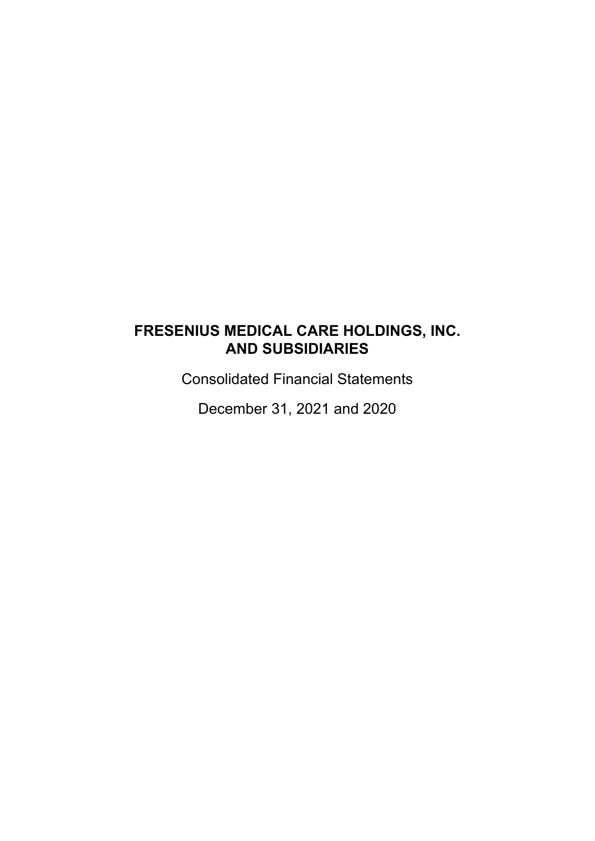Consolidated Financial Statements

December 31, 2021 and 2020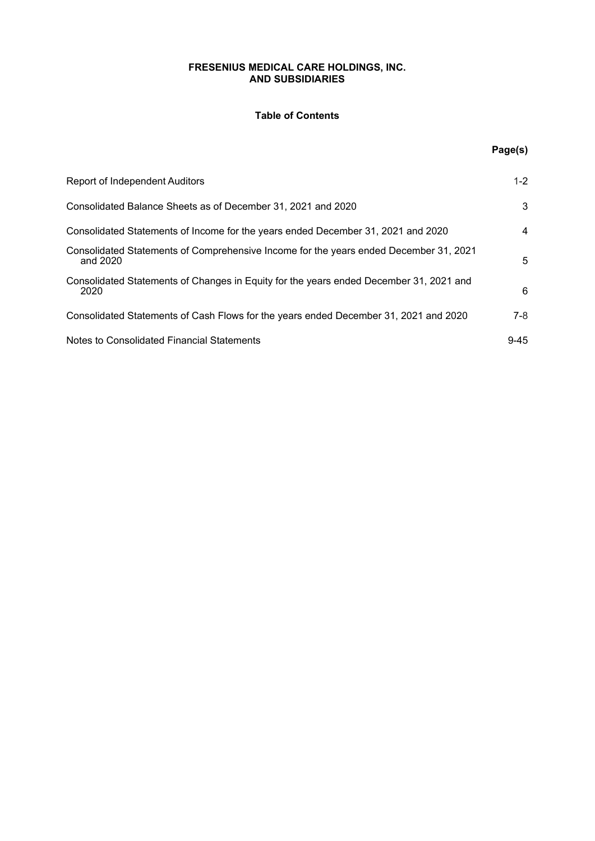### **Table of Contents**

| Report of Independent Auditors                                                                    | $1 - 2$  |
|---------------------------------------------------------------------------------------------------|----------|
| Consolidated Balance Sheets as of December 31, 2021 and 2020                                      | 3        |
| Consolidated Statements of Income for the years ended December 31, 2021 and 2020                  | 4        |
| Consolidated Statements of Comprehensive Income for the years ended December 31, 2021<br>and 2020 | 5        |
| Consolidated Statements of Changes in Equity for the years ended December 31, 2021 and<br>2020    | 6        |
| Consolidated Statements of Cash Flows for the years ended December 31, 2021 and 2020              | $7-8$    |
| Notes to Consolidated Financial Statements                                                        | $9 - 45$ |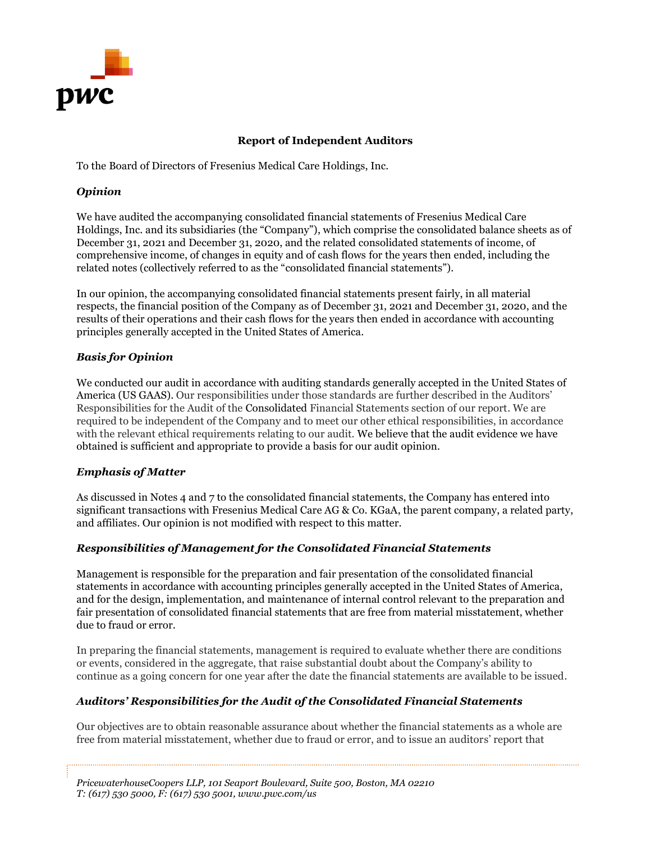

# **Report of Independent Auditors**

To the Board of Directors of Fresenius Medical Care Holdings, Inc.

### *Opinion*

We have audited the accompanying consolidated financial statements of Fresenius Medical Care Holdings, Inc. and its subsidiaries (the "Company"), which comprise the consolidated balance sheets as of December 31, 2021 and December 31, 2020, and the related consolidated statements of income, of comprehensive income, of changes in equity and of cash flows for the years then ended, including the related notes (collectively referred to as the "consolidated financial statements").

In our opinion, the accompanying consolidated financial statements present fairly, in all material respects, the financial position of the Company as of December 31, 2021 and December 31, 2020, and the results of their operations and their cash flows for the years then ended in accordance with accounting principles generally accepted in the United States of America.

### *Basis for Opinion*

We conducted our audit in accordance with auditing standards generally accepted in the United States of America (US GAAS). Our responsibilities under those standards are further described in the Auditors' Responsibilities for the Audit of the Consolidated Financial Statements section of our report. We are required to be independent of the Company and to meet our other ethical responsibilities, in accordance with the relevant ethical requirements relating to our audit. We believe that the audit evidence we have obtained is sufficient and appropriate to provide a basis for our audit opinion.

### *Emphasis of Matter*

As discussed in Notes 4 and 7 to the consolidated financial statements, the Company has entered into significant transactions with Fresenius Medical Care AG & Co. KGaA, the parent company, a related party, and affiliates. Our opinion is not modified with respect to this matter.

### *Responsibilities of Management for the Consolidated Financial Statements*

Management is responsible for the preparation and fair presentation of the consolidated financial statements in accordance with accounting principles generally accepted in the United States of America, and for the design, implementation, and maintenance of internal control relevant to the preparation and fair presentation of consolidated financial statements that are free from material misstatement, whether due to fraud or error.

In preparing the financial statements, management is required to evaluate whether there are conditions or events, considered in the aggregate, that raise substantial doubt about the Company's ability to continue as a going concern for one year after the date the financial statements are available to be issued.

### *Auditors' Responsibilities for the Audit of the Consolidated Financial Statements*

Our objectives are to obtain reasonable assurance about whether the financial statements as a whole are free from material misstatement, whether due to fraud or error, and to issue an auditors' report that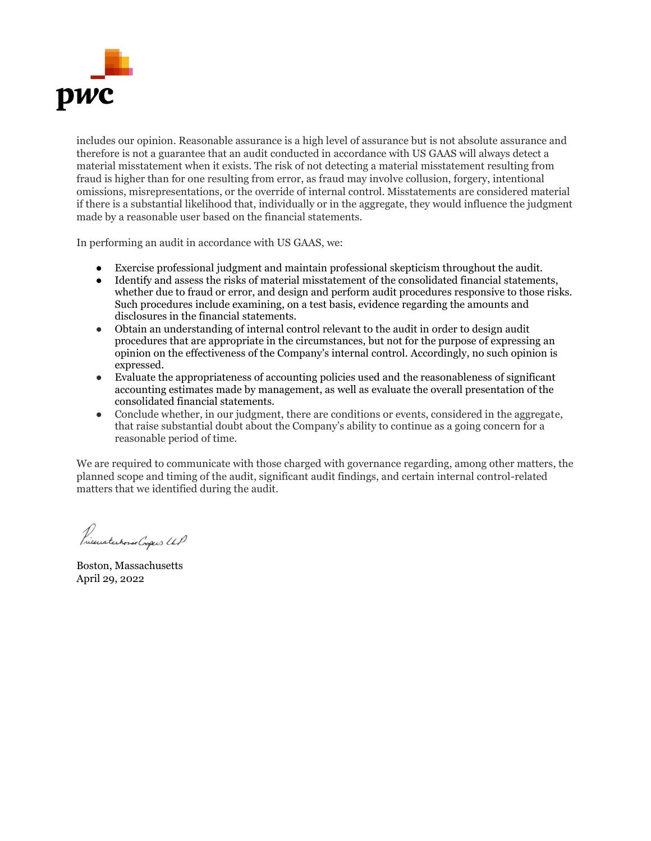

includes our opinion. Reasonable assurance is a high level of assurance but is not absolute assurance and therefore is not a guarantee that an audit conducted in accordance with US GAAS will always detect a material misstatement when it exists. The risk of not detecting a material misstatement resulting from fraud is higher than for one resulting from error, as fraud may involve collusion, forgery, intentional omissions, misrepresentations, or the override of internal control. Misstatements are considered material if there is a substantial likelihood that, individually or in the aggregate, they would influence the judgment made by a reasonable user based on the financial statements.

In performing an audit in accordance with US GAAS, we:

- Exercise professional judgment and maintain professional skepticism throughout the audit.
- Identify and assess the risks of material misstatement of the consolidated financial statements, whether due to fraud or error, and design and perform audit procedures responsive to those risks. Such procedures include examining, on a test basis, evidence regarding the amounts and disclosures in the financial statements.
- Obtain an understanding of internal control relevant to the audit in order to design audit procedures that are appropriate in the circumstances, but not for the purpose of expressing an opinion on the effectiveness of the Company's internal control. Accordingly, no such opinion is expressed.
- Evaluate the appropriateness of accounting policies used and the reasonableness of significant accounting estimates made by management, as well as evaluate the overall presentation of the consolidated financial statements.
- Conclude whether, in our judgment, there are conditions or events, considered in the aggregate, that raise substantial doubt about the Company's ability to continue as a going concern for a reasonable period of time.

We are required to communicate with those charged with governance regarding, among other matters, the planned scope and timing of the audit, significant audit findings, and certain internal control-related matters that we identified during the audit.

Prieuraterhorse Copers UP

Boston, Massachusetts April 29, 2022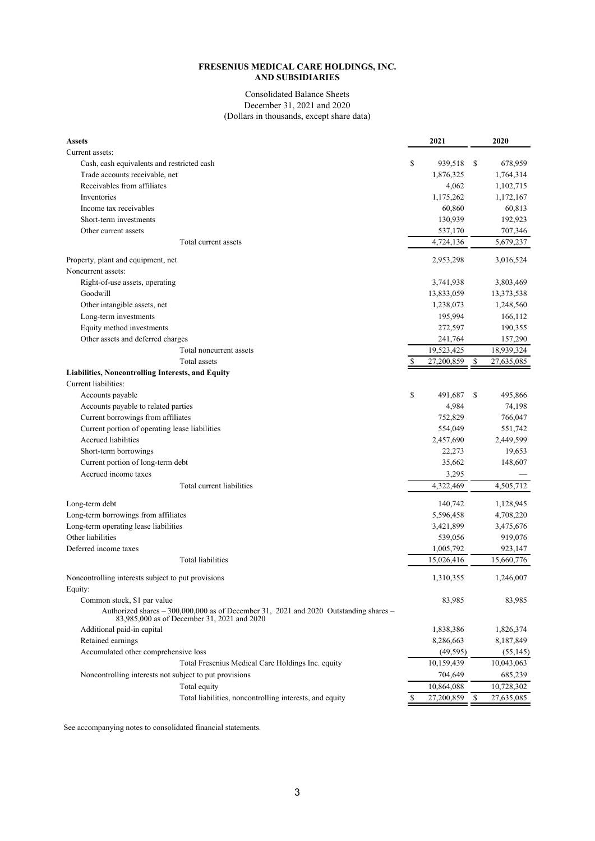#### Consolidated Balance Sheets December 31, 2021 and 2020 (Dollars in thousands, except share data)

<span id="page-4-0"></span>

| <b>Assets</b>                                                                            | 2021            |    | 2020       |
|------------------------------------------------------------------------------------------|-----------------|----|------------|
| Current assets:                                                                          |                 |    |            |
| Cash, cash equivalents and restricted cash                                               | \$<br>939,518   | -S | 678,959    |
| Trade accounts receivable, net                                                           | 1,876,325       |    | 1,764,314  |
| Receivables from affiliates                                                              | 4,062           |    | 1,102,715  |
| Inventories                                                                              | 1,175,262       |    | 1,172,167  |
| Income tax receivables                                                                   | 60,860          |    | 60,813     |
| Short-term investments                                                                   | 130,939         |    | 192,923    |
| Other current assets                                                                     | 537,170         |    | 707,346    |
| Total current assets                                                                     | 4,724,136       |    | 5,679,237  |
| Property, plant and equipment, net                                                       | 2,953,298       |    | 3,016,524  |
| Noncurrent assets:                                                                       |                 |    |            |
| Right-of-use assets, operating                                                           | 3,741,938       |    | 3,803,469  |
| Goodwill                                                                                 | 13,833,059      |    | 13,373,538 |
| Other intangible assets, net                                                             | 1,238,073       |    | 1,248,560  |
| Long-term investments                                                                    | 195,994         |    | 166,112    |
| Equity method investments                                                                | 272,597         |    | 190,355    |
| Other assets and deferred charges                                                        | 241,764         |    | 157,290    |
| Total noncurrent assets                                                                  | 19,523,425      |    | 18,939,324 |
| Total assets                                                                             | 27,200,859<br>S | \$ | 27,635,085 |
| Liabilities, Noncontrolling Interests, and Equity                                        |                 |    |            |
| Current liabilities:                                                                     |                 |    |            |
| Accounts payable                                                                         | \$<br>491,687   | S  | 495,866    |
| Accounts payable to related parties                                                      | 4,984           |    | 74,198     |
| Current borrowings from affiliates                                                       | 752,829         |    | 766,047    |
| Current portion of operating lease liabilities                                           | 554,049         |    | 551,742    |
| Accrued liabilities                                                                      | 2,457,690       |    | 2,449,599  |
| Short-term borrowings                                                                    | 22,273          |    | 19,653     |
| Current portion of long-term debt                                                        | 35,662          |    | 148,607    |
| Accrued income taxes                                                                     | 3,295           |    |            |
| Total current liabilities                                                                | 4,322,469       |    |            |
|                                                                                          |                 |    | 4,505,712  |
| Long-term debt                                                                           | 140,742         |    | 1,128,945  |
| Long-term borrowings from affiliates                                                     | 5,596,458       |    | 4,708,220  |
| Long-term operating lease liabilities                                                    | 3,421,899       |    | 3,475,676  |
| Other liabilities                                                                        | 539,056         |    | 919,076    |
| Deferred income taxes                                                                    | 1,005,792       |    | 923,147    |
| <b>Total liabilities</b>                                                                 | 15,026,416      |    | 15,660,776 |
| Noncontrolling interests subject to put provisions<br>Equity:                            | 1,310,355       |    | 1,246,007  |
| Common stock, \$1 par value                                                              | 83,985          |    | 83,985     |
| Authorized shares $-300,000,000$ as of December 31, 2021 and 2020 Outstanding shares $-$ |                 |    |            |
| 83,985,000 as of December 31, 2021 and 2020                                              |                 |    |            |
| Additional paid-in capital                                                               | 1,838,386       |    | 1,826,374  |
| Retained earnings                                                                        | 8,286,663       |    | 8,187,849  |
| Accumulated other comprehensive loss                                                     | (49, 595)       |    | (55, 145)  |
| Total Fresenius Medical Care Holdings Inc. equity                                        | 10,159,439      |    | 10,043,063 |
| Noncontrolling interests not subject to put provisions                                   | 704,649         |    | 685,239    |
| Total equity                                                                             | 10,864,088      |    | 10,728,302 |
| Total liabilities, noncontrolling interests, and equity                                  | 27,200,859<br>S | \$ | 27,635,085 |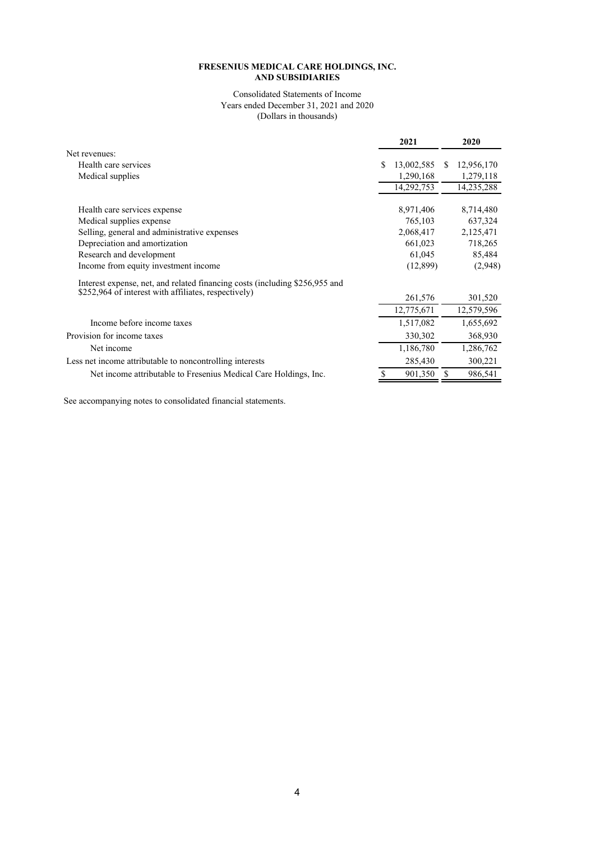#### Consolidated Statements of Income Years ended December 31, 2021 and 2020 (Dollars in thousands)

<span id="page-5-0"></span>

|                                                                             |    | 2021       |   | 2020       |
|-----------------------------------------------------------------------------|----|------------|---|------------|
| Net revenues:                                                               |    |            |   |            |
| Health care services                                                        | S  | 13,002,585 | S | 12,956,170 |
| Medical supplies                                                            |    | 1,290,168  |   | 1,279,118  |
|                                                                             |    | 14,292,753 |   | 14,235,288 |
| Health care services expense                                                |    | 8,971,406  |   | 8,714,480  |
| Medical supplies expense                                                    |    | 765,103    |   | 637,324    |
| Selling, general and administrative expenses                                |    | 2,068,417  |   | 2,125,471  |
| Depreciation and amortization                                               |    | 661,023    |   | 718,265    |
| Research and development                                                    |    | 61,045     |   | 85,484     |
| Income from equity investment income                                        |    | (12,899)   |   | (2,948)    |
| Interest expense, net, and related financing costs (including \$256,955 and |    |            |   |            |
| \$252,964 of interest with affiliates, respectively)                        |    | 261,576    |   | 301,520    |
|                                                                             |    | 12,775,671 |   | 12,579,596 |
| Income before income taxes                                                  |    | 1,517,082  |   | 1,655,692  |
| Provision for income taxes                                                  |    | 330,302    |   | 368,930    |
| Net income                                                                  |    | 1,186,780  |   | 1,286,762  |
| Less net income attributable to noncontrolling interests                    |    | 285,430    |   | 300,221    |
| Net income attributable to Fresenius Medical Care Holdings, Inc.            | \$ | 901,350    |   | 986,541    |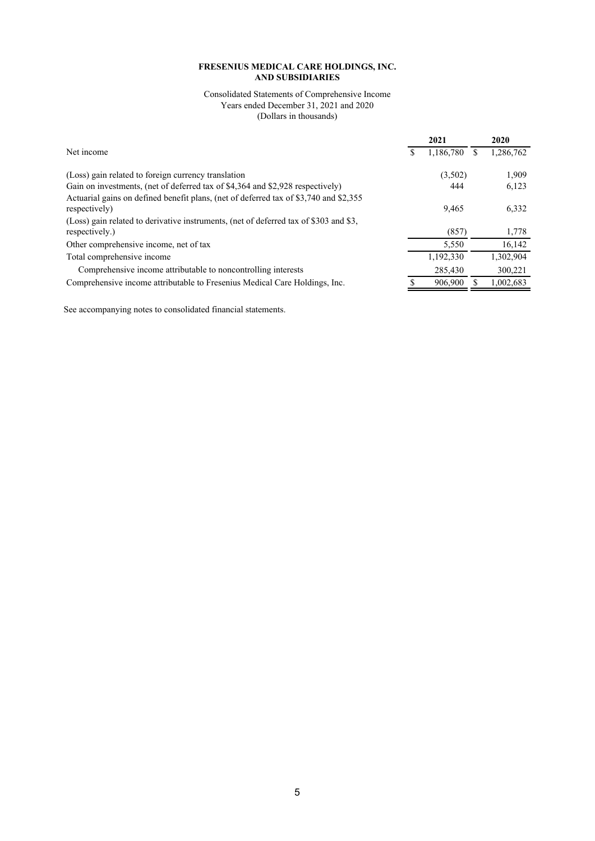#### Consolidated Statements of Comprehensive Income Years ended December 31, 2021 and 2020 (Dollars in thousands)

<span id="page-6-0"></span>

|                                                                                                         |   | 2021      | 2020      |
|---------------------------------------------------------------------------------------------------------|---|-----------|-----------|
| Net income                                                                                              | S | 1,186,780 | 1,286,762 |
| (Loss) gain related to foreign currency translation                                                     |   | (3,502)   | 1.909     |
| Gain on investments, (net of deferred tax of \$4,364 and \$2,928 respectively)                          |   | 444       | 6,123     |
| Actuarial gains on defined benefit plans, (net of deferred tax of \$3,740 and \$2,355<br>respectively)  |   | 9,465     | 6,332     |
| (Loss) gain related to derivative instruments, (net of deferred tax of \$303 and \$3,<br>respectively.) |   | (857)     | 1,778     |
| Other comprehensive income, net of tax                                                                  |   | 5,550     | 16,142    |
| Total comprehensive income                                                                              |   | 1,192,330 | 1,302,904 |
| Comprehensive income attributable to noncontrolling interests                                           |   | 285,430   | 300,221   |
| Comprehensive income attributable to Fresenius Medical Care Holdings, Inc.                              |   | 906,900   | 1,002,683 |
|                                                                                                         |   |           |           |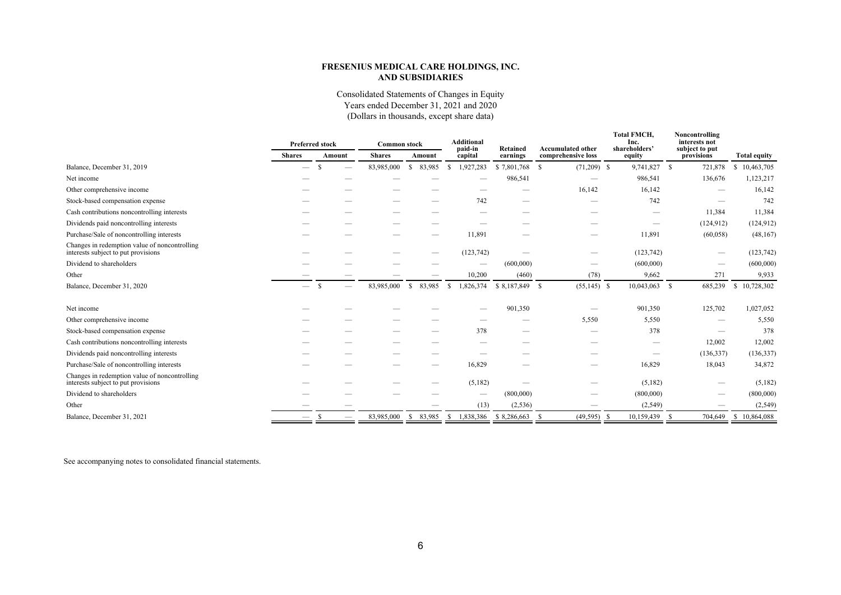Consolidated Statements of Changes in Equity Years ended December 31, 2021 and 2020 (Dollars in thousands, except share data)

**Total FMCH,** 

<span id="page-7-0"></span>

|                                                                                      | <b>Preferred stock</b>   |                                | <b>Common stock</b> |                        | <b>Additional</b><br>paid-in | Retained              | <b>Accumulated other</b> | <b>Total FMCH,</b><br>Inc.<br>shareholders' | Noncontrolling<br>interests not<br>subject to put |                     |
|--------------------------------------------------------------------------------------|--------------------------|--------------------------------|---------------------|------------------------|------------------------------|-----------------------|--------------------------|---------------------------------------------|---------------------------------------------------|---------------------|
|                                                                                      | <b>Shares</b>            | <b>Shares</b><br>Amount        |                     | Amount                 | capital                      | earnings              | comprehensive loss       | equity                                      | provisions                                        | <b>Total equity</b> |
| Balance, December 31, 2019                                                           | $\overline{\phantom{0}}$ | -S                             | 83,985,000          | 83,985<br>\$.          | S<br>1,927,283               | \$7,801,768 \$        | $(71,209)$ \$            | 9,741,827 \$                                | 721,878                                           | 10,463,705<br>S     |
| Net income                                                                           |                          |                                |                     |                        |                              | 986,541               |                          | 986,541                                     | 136,676                                           | 1,123,217           |
| Other comprehensive income                                                           |                          |                                |                     |                        |                              | —                     | 16,142                   | 16,142                                      |                                                   | 16,142              |
| Stock-based compensation expense                                                     |                          |                                |                     |                        | 742                          |                       |                          | 742                                         |                                                   | 742                 |
| Cash contributions noncontrolling interests                                          |                          |                                |                     |                        |                              |                       |                          |                                             | 11,384                                            | 11,384              |
| Dividends paid noncontrolling interests                                              |                          |                                |                     |                        |                              |                       |                          |                                             | (124, 912)                                        | (124, 912)          |
| Purchase/Sale of noncontrolling interests                                            |                          |                                |                     |                        | 11,891                       |                       |                          | 11,891                                      | (60,058)                                          | (48, 167)           |
| Changes in redemption value of noncontrolling<br>interests subject to put provisions |                          |                                |                     |                        | (123, 742)                   |                       | --                       | (123, 742)                                  |                                                   | (123, 742)          |
| Dividend to shareholders                                                             |                          |                                |                     |                        |                              | (600,000)             |                          | (600,000)                                   |                                                   | (600,000)           |
| Other                                                                                |                          |                                |                     |                        | 10,200                       | (460)                 | (78)                     | 9,662                                       | 271                                               | 9,933               |
| Balance, December 31, 2020                                                           | $\overline{\phantom{a}}$ | -S<br>$\overline{\phantom{0}}$ | 83,985,000          | 83,985<br><sup>S</sup> | 1,826,374<br>-S              | \$8,187,849 \$        | $(55, 145)$ \$           | 10,043,063 \$                               | 685,239                                           | 10,728,302<br>S     |
| Net income                                                                           |                          |                                |                     |                        |                              | 901,350               |                          | 901,350                                     | 125,702                                           | 1,027,052           |
| Other comprehensive income                                                           |                          |                                |                     |                        |                              | –                     | 5,550                    | 5,550                                       |                                                   | 5,550               |
| Stock-based compensation expense                                                     |                          |                                |                     |                        | 378                          | —                     |                          | 378                                         |                                                   | 378                 |
| Cash contributions noncontrolling interests                                          |                          |                                |                     |                        |                              |                       |                          |                                             | 12,002                                            | 12,002              |
| Dividends paid noncontrolling interests                                              |                          |                                |                     |                        |                              |                       |                          | --                                          | (136, 337)                                        | (136, 337)          |
| Purchase/Sale of noncontrolling interests                                            |                          |                                |                     |                        | 16,829                       |                       |                          | 16,829                                      | 18,043                                            | 34,872              |
| Changes in redemption value of noncontrolling<br>interests subject to put provisions |                          |                                |                     |                        | (5,182)                      |                       |                          | (5,182)                                     |                                                   | (5,182)             |
| Dividend to shareholders                                                             |                          |                                |                     |                        |                              | (800,000)             |                          | (800,000)                                   |                                                   | (800,000)           |
| Other                                                                                |                          |                                |                     |                        | (13)                         | (2, 536)              | --                       | (2, 549)                                    |                                                   | (2, 549)            |
| Balance, December 31, 2021                                                           | $\overline{\phantom{0}}$ | -S<br>$\overline{\phantom{a}}$ | 83,985,000          | 83,985<br>-S           | -S                           | 1,838,386 \$8,286,663 | $(49,595)$ \$<br>-8      | 10,159,439 \$                               | 704,649                                           | \$10,864,088        |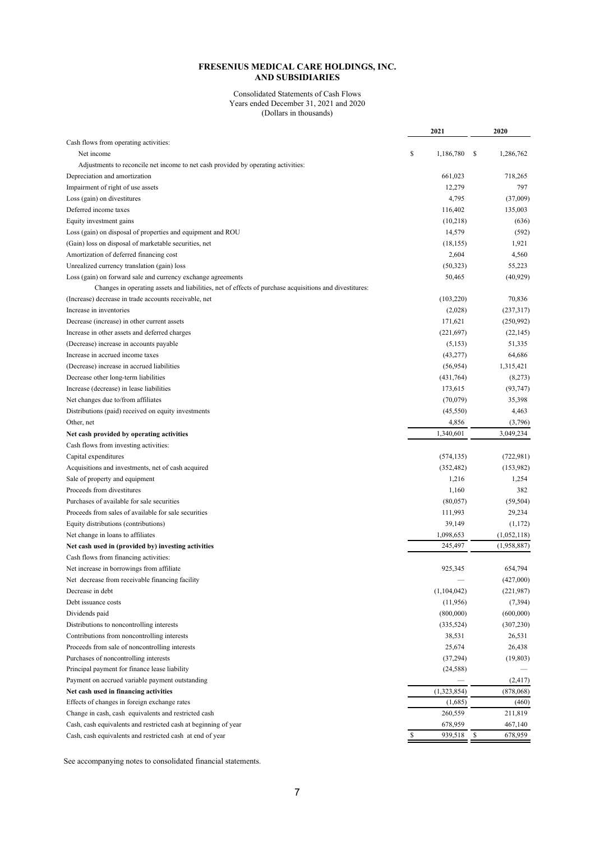Consolidated Statements of Cash Flows Years ended December 31, 2021 and 2020 (Dollars in thousands)

<span id="page-8-0"></span>

|                                                                                                                                                                        | 2021 |             | 2020 |             |
|------------------------------------------------------------------------------------------------------------------------------------------------------------------------|------|-------------|------|-------------|
| Cash flows from operating activities:                                                                                                                                  |      |             |      |             |
| Net income                                                                                                                                                             | \$   | 1,186,780   | S.   | 1,286,762   |
| Adjustments to reconcile net income to net cash provided by operating activities:                                                                                      |      |             |      |             |
| Depreciation and amortization                                                                                                                                          |      | 661,023     |      | 718,265     |
| Impairment of right of use assets                                                                                                                                      |      | 12,279      |      | 797         |
| Loss (gain) on divestitures                                                                                                                                            |      | 4,795       |      | (37,009)    |
| Deferred income taxes                                                                                                                                                  |      | 116,402     |      | 135,003     |
| Equity investment gains                                                                                                                                                |      | (10, 218)   |      | (636)       |
| Loss (gain) on disposal of properties and equipment and ROU                                                                                                            |      | 14,579      |      | (592)       |
| (Gain) loss on disposal of marketable securities, net                                                                                                                  |      | (18, 155)   |      | 1,921       |
| Amortization of deferred financing cost                                                                                                                                |      | 2,604       |      | 4,560       |
| Unrealized currency translation (gain) loss                                                                                                                            |      | (50, 323)   |      | 55,223      |
| Loss (gain) on forward sale and currency exchange agreements<br>Changes in operating assets and liabilities, net of effects of purchase acquisitions and divestitures: |      | 50,465      |      | (40, 929)   |
| (Increase) decrease in trade accounts receivable, net                                                                                                                  |      | (103, 220)  |      | 70,836      |
| Increase in inventories                                                                                                                                                |      | (2,028)     |      | (237,317)   |
| Decrease (increase) in other current assets                                                                                                                            |      | 171,621     |      | (250,992)   |
| Increase in other assets and deferred charges                                                                                                                          |      | (221,697)   |      | (22, 145)   |
| (Decrease) increase in accounts payable                                                                                                                                |      | (5, 153)    |      | 51,335      |
| Increase in accrued income taxes                                                                                                                                       |      | (43, 277)   |      | 64,686      |
| (Decrease) increase in accrued liabilities                                                                                                                             |      | (56, 954)   |      | 1,315,421   |
| Decrease other long-term liabilities                                                                                                                                   |      | (431,764)   |      | (8,273)     |
| Increase (decrease) in lease liabilities                                                                                                                               |      | 173,615     |      | (93, 747)   |
| Net changes due to/from affiliates                                                                                                                                     |      | (70,079)    |      | 35,398      |
| Distributions (paid) received on equity investments                                                                                                                    |      | (45, 550)   |      | 4,463       |
| Other, net                                                                                                                                                             |      | 4,856       |      | (3,796)     |
| Net cash provided by operating activities                                                                                                                              |      | 1,340,601   |      | 3,049,234   |
|                                                                                                                                                                        |      |             |      |             |
| Cash flows from investing activities:                                                                                                                                  |      | (574, 135)  |      | (722, 981)  |
| Capital expenditures                                                                                                                                                   |      |             |      |             |
| Acquisitions and investments, net of cash acquired                                                                                                                     |      | (352, 482)  |      | (153,982)   |
| Sale of property and equipment                                                                                                                                         |      | 1,216       |      | 1,254       |
| Proceeds from divestitures                                                                                                                                             |      | 1,160       |      | 382         |
| Purchases of available for sale securities                                                                                                                             |      | (80,057)    |      | (59, 504)   |
| Proceeds from sales of available for sale securities                                                                                                                   |      | 111,993     |      | 29,234      |
| Equity distributions (contributions)                                                                                                                                   |      | 39,149      |      | (1, 172)    |
| Net change in loans to affiliates                                                                                                                                      |      | 1,098,653   |      | (1,052,118) |
| Net cash used in (provided by) investing activities                                                                                                                    |      | 245,497     |      | (1,958,887) |
| Cash flows from financing activities:                                                                                                                                  |      |             |      |             |
| Net increase in borrowings from affiliate.                                                                                                                             |      | 925,345     |      | 654,794     |
| Net decrease from receivable financing facility                                                                                                                        |      |             |      | (427,000)   |
| Decrease in debt                                                                                                                                                       |      | (1,104,042) |      | (221, 987)  |
| Debt issuance costs                                                                                                                                                    |      | (11,956)    |      | (7, 394)    |
| Dividends paid                                                                                                                                                         |      | (800,000)   |      | (600,000)   |
| Distributions to noncontrolling interests                                                                                                                              |      | (335, 524)  |      | (307, 230)  |
| Contributions from noncontrolling interests                                                                                                                            |      | 38,531      |      | 26,531      |
| Proceeds from sale of noncontrolling interests                                                                                                                         |      | 25,674      |      | 26,438      |
| Purchases of noncontrolling interests                                                                                                                                  |      | (37, 294)   |      | (19, 803)   |
| Principal payment for finance lease liability                                                                                                                          |      | (24, 588)   |      |             |
| Payment on accrued variable payment outstanding                                                                                                                        |      |             |      | (2, 417)    |
| Net cash used in financing activities                                                                                                                                  |      | (1,323,854) |      | (878,068)   |
| Effects of changes in foreign exchange rates                                                                                                                           |      | (1,685)     |      | (460)       |
| Change in cash, cash equivalents and restricted cash                                                                                                                   |      | 260,559     |      | 211,819     |
| Cash, cash equivalents and restricted cash at beginning of year                                                                                                        |      | 678,959     |      | 467,140     |
| Cash, cash equivalents and restricted cash at end of year                                                                                                              | \$   | 939,518     | \$   | 678,959     |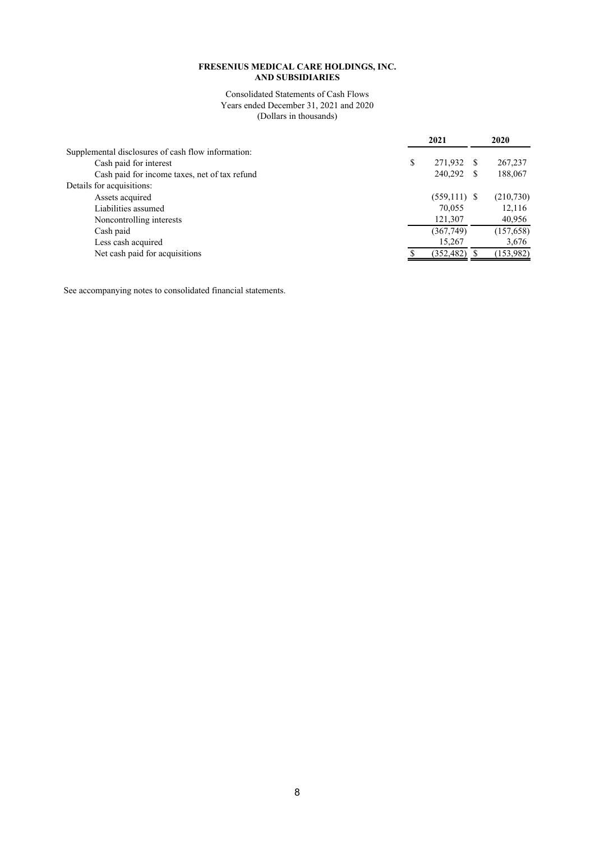Consolidated Statements of Cash Flows Years ended December 31, 2021 and 2020 (Dollars in thousands)

|                                                    | 2021            | 2020       |
|----------------------------------------------------|-----------------|------------|
| Supplemental disclosures of cash flow information: |                 |            |
| Cash paid for interest                             | \$<br>271,932   | 267,237    |
| Cash paid for income taxes, net of tax refund      | 240,292         | 188,067    |
| Details for acquisitions:                          |                 |            |
| Assets acquired                                    | $(559, 111)$ \$ | (210,730)  |
| Liabilities assumed                                | 70,055          | 12,116     |
| Noncontrolling interests                           | 121,307         | 40,956     |
| Cash paid                                          | (367,749)       | (157, 658) |
| Less cash acquired                                 | 15,267          | 3,676      |
| Net cash paid for acquisitions                     | (352, 482)      | (153,982)  |
|                                                    |                 |            |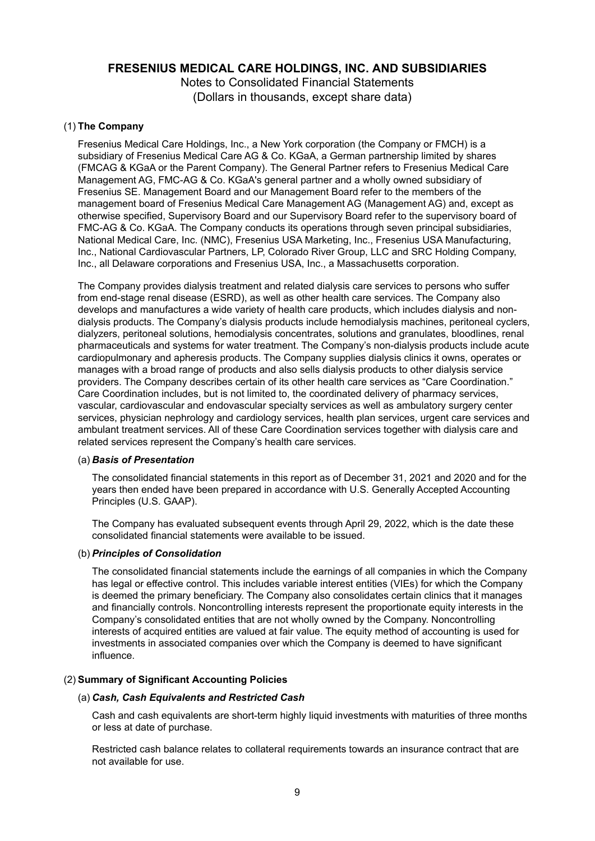Notes to Consolidated Financial Statements (Dollars in thousands, except share data)

#### <span id="page-10-0"></span>(1) **The Company**

Fresenius Medical Care Holdings, Inc., a New York corporation (the Company or FMCH) is a subsidiary of Fresenius Medical Care AG & Co. KGaA, a German partnership limited by shares (FMCAG & KGaA or the Parent Company). The General Partner refers to Fresenius Medical Care Management AG, FMC-AG & Co. KGaA's general partner and a wholly owned subsidiary of Fresenius SE. Management Board and our Management Board refer to the members of the management board of Fresenius Medical Care Management AG (Management AG) and, except as otherwise specified, Supervisory Board and our Supervisory Board refer to the supervisory board of FMC-AG & Co. KGaA. The Company conducts its operations through seven principal subsidiaries, National Medical Care, Inc. (NMC), Fresenius USA Marketing, Inc., Fresenius USA Manufacturing, Inc., National Cardiovascular Partners, LP, Colorado River Group, LLC and SRC Holding Company, Inc., all Delaware corporations and Fresenius USA, Inc., a Massachusetts corporation.

The Company provides dialysis treatment and related dialysis care services to persons who suffer from end-stage renal disease (ESRD), as well as other health care services. The Company also develops and manufactures a wide variety of health care products, which includes dialysis and nondialysis products. The Company's dialysis products include hemodialysis machines, peritoneal cyclers, dialyzers, peritoneal solutions, hemodialysis concentrates, solutions and granulates, bloodlines, renal pharmaceuticals and systems for water treatment. The Company's non-dialysis products include acute cardiopulmonary and apheresis products. The Company supplies dialysis clinics it owns, operates or manages with a broad range of products and also sells dialysis products to other dialysis service providers. The Company describes certain of its other health care services as "Care Coordination." Care Coordination includes, but is not limited to, the coordinated delivery of pharmacy services, vascular, cardiovascular and endovascular specialty services as well as ambulatory surgery center services, physician nephrology and cardiology services, health plan services, urgent care services and ambulant treatment services. All of these Care Coordination services together with dialysis care and related services represent the Company's health care services.

#### (a) *Basis of Presentation*

The consolidated financial statements in this report as of December 31, 2021 and 2020 and for the years then ended have been prepared in accordance with U.S. Generally Accepted Accounting Principles (U.S. GAAP).

The Company has evaluated subsequent events through April 29, 2022, which is the date these consolidated financial statements were available to be issued.

#### (b) *Principles of Consolidation*

The consolidated financial statements include the earnings of all companies in which the Company has legal or effective control. This includes variable interest entities (VIEs) for which the Company is deemed the primary beneficiary. The Company also consolidates certain clinics that it manages and financially controls. Noncontrolling interests represent the proportionate equity interests in the Company's consolidated entities that are not wholly owned by the Company. Noncontrolling interests of acquired entities are valued at fair value. The equity method of accounting is used for investments in associated companies over which the Company is deemed to have significant influence.

#### (2) **Summary of Significant Accounting Policies**

#### (a) *Cash, Cash Equivalents and Restricted Cash*

Cash and cash equivalents are short-term highly liquid investments with maturities of three months or less at date of purchase.

Restricted cash balance relates to collateral requirements towards an insurance contract that are not available for use.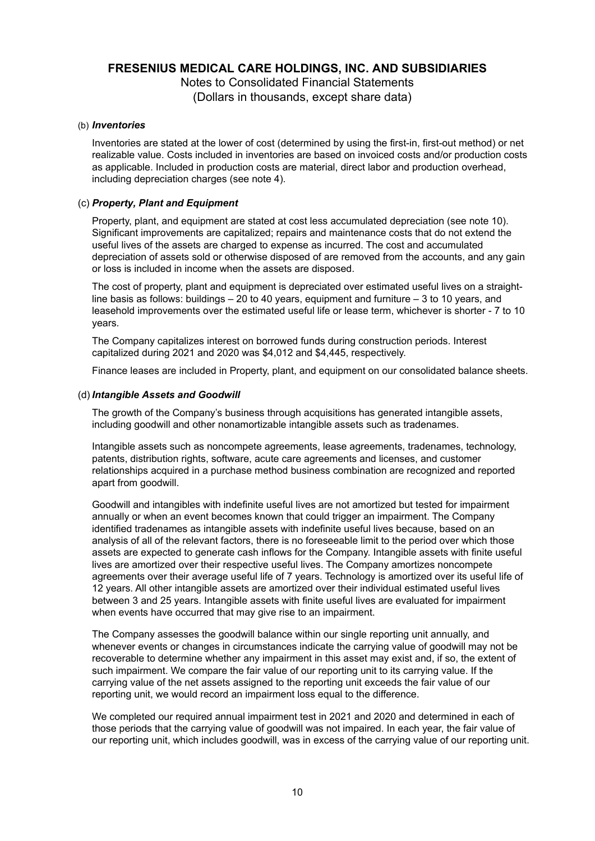Notes to Consolidated Financial Statements (Dollars in thousands, except share data)

#### (b) *Inventories*

Inventories are stated at the lower of cost (determined by using the first-in, first-out method) or net realizable value. Costs included in inventories are based on invoiced costs and/or production costs as applicable. Included in production costs are material, direct labor and production overhead, including depreciation charges (see note 4).

### (c) *Property, Plant and Equipment*

Property, plant, and equipment are stated at cost less accumulated depreciation (see note 10). Significant improvements are capitalized; repairs and maintenance costs that do not extend the useful lives of the assets are charged to expense as incurred. The cost and accumulated depreciation of assets sold or otherwise disposed of are removed from the accounts, and any gain or loss is included in income when the assets are disposed.

The cost of property, plant and equipment is depreciated over estimated useful lives on a straightline basis as follows: buildings – 20 to 40 years, equipment and furniture – 3 to 10 years, and leasehold improvements over the estimated useful life or lease term, whichever is shorter - 7 to 10 years.

The Company capitalizes interest on borrowed funds during construction periods. Interest capitalized during 2021 and 2020 was \$4,012 and \$4,445, respectively.

Finance leases are included in Property, plant, and equipment on our consolidated balance sheets.

### (d) *Intangible Assets and Goodwill*

The growth of the Company's business through acquisitions has generated intangible assets, including goodwill and other nonamortizable intangible assets such as tradenames.

Intangible assets such as noncompete agreements, lease agreements, tradenames, technology, patents, distribution rights, software, acute care agreements and licenses, and customer relationships acquired in a purchase method business combination are recognized and reported apart from goodwill.

Goodwill and intangibles with indefinite useful lives are not amortized but tested for impairment annually or when an event becomes known that could trigger an impairment. The Company identified tradenames as intangible assets with indefinite useful lives because, based on an analysis of all of the relevant factors, there is no foreseeable limit to the period over which those assets are expected to generate cash inflows for the Company. Intangible assets with finite useful lives are amortized over their respective useful lives. The Company amortizes noncompete agreements over their average useful life of 7 years. Technology is amortized over its useful life of 12 years. All other intangible assets are amortized over their individual estimated useful lives between 3 and 25 years. Intangible assets with finite useful lives are evaluated for impairment when events have occurred that may give rise to an impairment.

The Company assesses the goodwill balance within our single reporting unit annually, and whenever events or changes in circumstances indicate the carrying value of goodwill may not be recoverable to determine whether any impairment in this asset may exist and, if so, the extent of such impairment. We compare the fair value of our reporting unit to its carrying value. If the carrying value of the net assets assigned to the reporting unit exceeds the fair value of our reporting unit, we would record an impairment loss equal to the difference.

We completed our required annual impairment test in 2021 and 2020 and determined in each of those periods that the carrying value of goodwill was not impaired. In each year, the fair value of our reporting unit, which includes goodwill, was in excess of the carrying value of our reporting unit.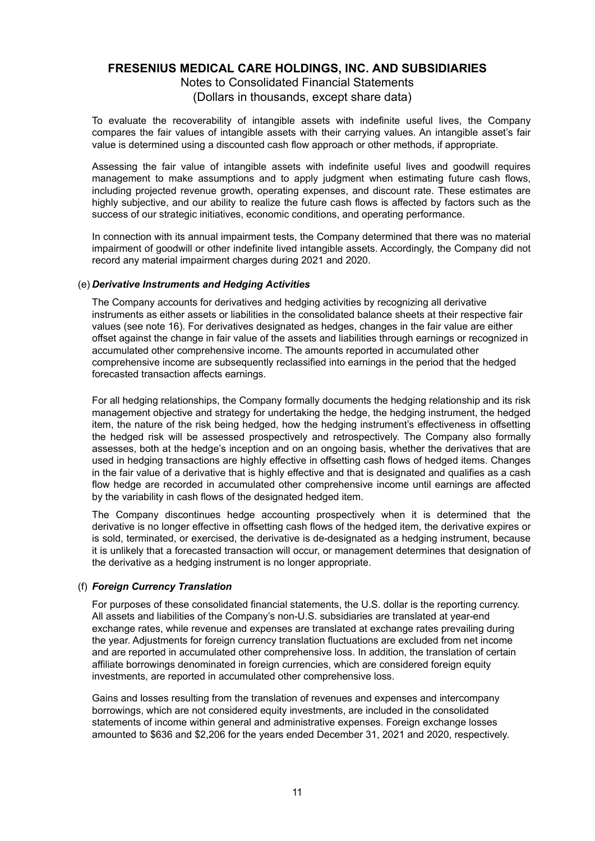Notes to Consolidated Financial Statements (Dollars in thousands, except share data)

To evaluate the recoverability of intangible assets with indefinite useful lives, the Company compares the fair values of intangible assets with their carrying values. An intangible asset's fair value is determined using a discounted cash flow approach or other methods, if appropriate.

Assessing the fair value of intangible assets with indefinite useful lives and goodwill requires management to make assumptions and to apply judgment when estimating future cash flows, including projected revenue growth, operating expenses, and discount rate. These estimates are highly subjective, and our ability to realize the future cash flows is affected by factors such as the success of our strategic initiatives, economic conditions, and operating performance.

In connection with its annual impairment tests, the Company determined that there was no material impairment of goodwill or other indefinite lived intangible assets. Accordingly, the Company did not record any material impairment charges during 2021 and 2020.

#### (e) *Derivative Instruments and Hedging Activities*

The Company accounts for derivatives and hedging activities by recognizing all derivative instruments as either assets or liabilities in the consolidated balance sheets at their respective fair values (see note 16). For derivatives designated as hedges, changes in the fair value are either offset against the change in fair value of the assets and liabilities through earnings or recognized in accumulated other comprehensive income. The amounts reported in accumulated other comprehensive income are subsequently reclassified into earnings in the period that the hedged forecasted transaction affects earnings.

For all hedging relationships, the Company formally documents the hedging relationship and its risk management objective and strategy for undertaking the hedge, the hedging instrument, the hedged item, the nature of the risk being hedged, how the hedging instrument's effectiveness in offsetting the hedged risk will be assessed prospectively and retrospectively. The Company also formally assesses, both at the hedge's inception and on an ongoing basis, whether the derivatives that are used in hedging transactions are highly effective in offsetting cash flows of hedged items. Changes in the fair value of a derivative that is highly effective and that is designated and qualifies as a cash flow hedge are recorded in accumulated other comprehensive income until earnings are affected by the variability in cash flows of the designated hedged item.

The Company discontinues hedge accounting prospectively when it is determined that the derivative is no longer effective in offsetting cash flows of the hedged item, the derivative expires or is sold, terminated, or exercised, the derivative is de-designated as a hedging instrument, because it is unlikely that a forecasted transaction will occur, or management determines that designation of the derivative as a hedging instrument is no longer appropriate.

### (f) *Foreign Currency Translation*

For purposes of these consolidated financial statements, the U.S. dollar is the reporting currency. All assets and liabilities of the Company's non-U.S. subsidiaries are translated at year-end exchange rates, while revenue and expenses are translated at exchange rates prevailing during the year. Adjustments for foreign currency translation fluctuations are excluded from net income and are reported in accumulated other comprehensive loss. In addition, the translation of certain affiliate borrowings denominated in foreign currencies, which are considered foreign equity investments, are reported in accumulated other comprehensive loss.

Gains and losses resulting from the translation of revenues and expenses and intercompany borrowings, which are not considered equity investments, are included in the consolidated statements of income within general and administrative expenses. Foreign exchange losses amounted to \$636 and \$2,206 for the years ended December 31, 2021 and 2020, respectively.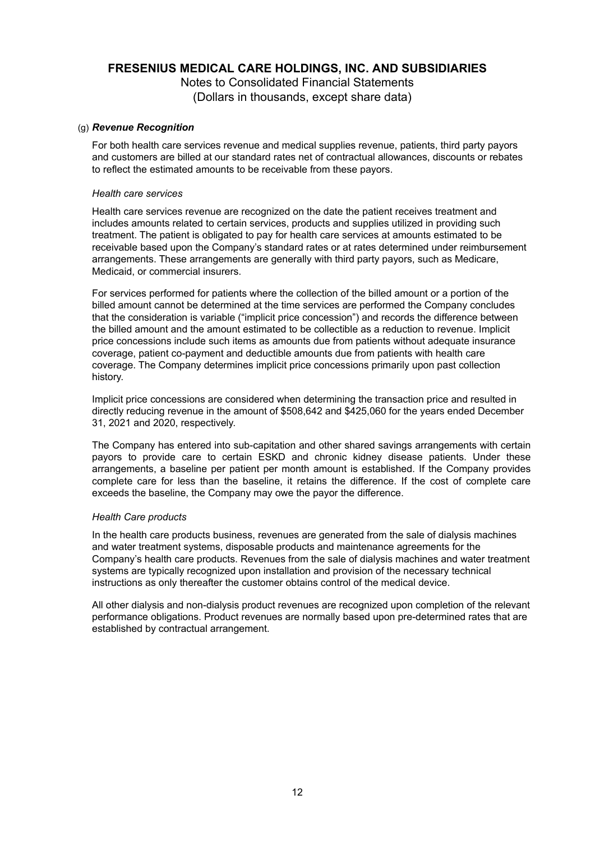Notes to Consolidated Financial Statements (Dollars in thousands, except share data)

#### (g) *Revenue Recognition*

For both health care services revenue and medical supplies revenue, patients, third party payors and customers are billed at our standard rates net of contractual allowances, discounts or rebates to reflect the estimated amounts to be receivable from these payors.

#### *Health care services*

Health care services revenue are recognized on the date the patient receives treatment and includes amounts related to certain services, products and supplies utilized in providing such treatment. The patient is obligated to pay for health care services at amounts estimated to be receivable based upon the Company's standard rates or at rates determined under reimbursement arrangements. These arrangements are generally with third party payors, such as Medicare, Medicaid, or commercial insurers.

For services performed for patients where the collection of the billed amount or a portion of the billed amount cannot be determined at the time services are performed the Company concludes that the consideration is variable ("implicit price concession") and records the difference between the billed amount and the amount estimated to be collectible as a reduction to revenue. Implicit price concessions include such items as amounts due from patients without adequate insurance coverage, patient co-payment and deductible amounts due from patients with health care coverage. The Company determines implicit price concessions primarily upon past collection history.

Implicit price concessions are considered when determining the transaction price and resulted in directly reducing revenue in the amount of \$508,642 and \$425,060 for the years ended December 31, 2021 and 2020, respectively.

The Company has entered into sub-capitation and other shared savings arrangements with certain payors to provide care to certain ESKD and chronic kidney disease patients. Under these arrangements, a baseline per patient per month amount is established. If the Company provides complete care for less than the baseline, it retains the difference. If the cost of complete care exceeds the baseline, the Company may owe the payor the difference.

#### *Health Care products*

In the health care products business, revenues are generated from the sale of dialysis machines and water treatment systems, disposable products and maintenance agreements for the Company's health care products. Revenues from the sale of dialysis machines and water treatment systems are typically recognized upon installation and provision of the necessary technical instructions as only thereafter the customer obtains control of the medical device.

All other dialysis and non-dialysis product revenues are recognized upon completion of the relevant performance obligations. Product revenues are normally based upon pre-determined rates that are established by contractual arrangement.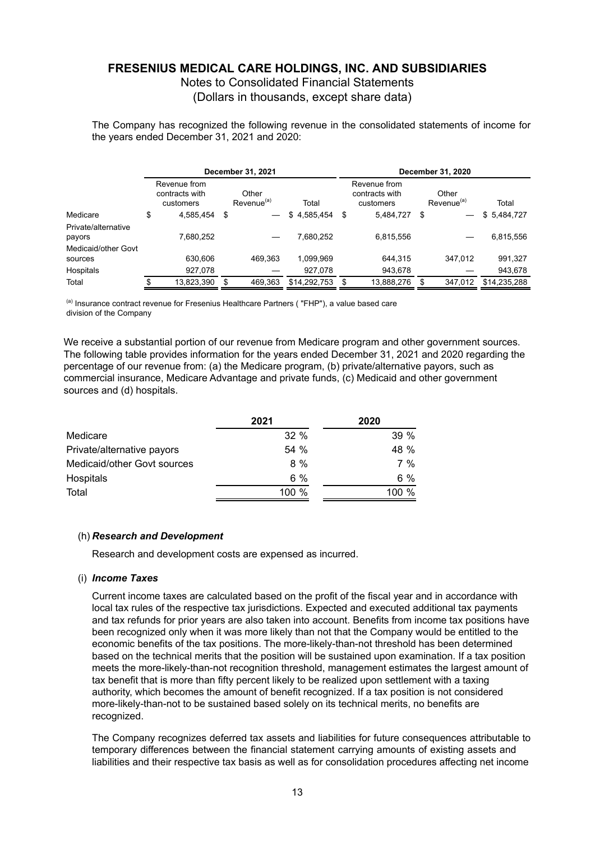Notes to Consolidated Financial Statements

(Dollars in thousands, except share data)

The Company has recognized the following revenue in the consolidated statements of income for the years ended December 31, 2021 and 2020:

|                                | December 31, 2021 |                                             |   |                                 | December 31, 2020 |    |                                             |   |                                 |              |
|--------------------------------|-------------------|---------------------------------------------|---|---------------------------------|-------------------|----|---------------------------------------------|---|---------------------------------|--------------|
|                                |                   | Revenue from<br>contracts with<br>customers |   | Other<br>Revenue <sup>(a)</sup> | Total             |    | Revenue from<br>contracts with<br>customers |   | Other<br>Revenue <sup>(a)</sup> | Total        |
| Medicare                       | \$                | 4,585,454                                   | S |                                 | \$4,585,454       | \$ | 5,484,727                                   | S |                                 | \$5,484,727  |
| Private/alternative<br>payors  |                   | 7,680,252                                   |   |                                 | 7,680,252         |    | 6,815,556                                   |   |                                 | 6,815,556    |
| Medicaid/other Govt<br>sources |                   | 630.606                                     |   | 469.363                         | 1,099,969         |    | 644.315                                     |   | 347.012                         | 991,327      |
| Hospitals                      |                   | 927,078                                     |   |                                 | 927,078           |    | 943,678                                     |   |                                 | 943,678      |
| Total                          |                   | 13,823,390                                  |   | 469,363                         | \$14,292,753      |    | 13,888,276                                  |   | 347,012                         | \$14,235,288 |

(a) Insurance contract revenue for Fresenius Healthcare Partners ("FHP"), a value based care division of the Company

We receive a substantial portion of our revenue from Medicare program and other government sources. The following table provides information for the years ended December 31, 2021 and 2020 regarding the percentage of our revenue from: (a) the Medicare program, (b) private/alternative payors, such as commercial insurance, Medicare Advantage and private funds, (c) Medicaid and other government sources and (d) hospitals.

|                             | 2021  | 2020  |
|-----------------------------|-------|-------|
| Medicare                    | 32%   | 39 %  |
| Private/alternative payors  | 54 %  | 48 %  |
| Medicaid/other Govt sources | $8\%$ | $7\%$ |
| Hospitals                   | $6\%$ | $6\%$ |
| Total                       | 100 % | 100 % |

### (h) *Research and Development*

Research and development costs are expensed as incurred.

### (i) *Income Taxes*

Current income taxes are calculated based on the profit of the fiscal year and in accordance with local tax rules of the respective tax jurisdictions. Expected and executed additional tax payments and tax refunds for prior years are also taken into account. Benefits from income tax positions have been recognized only when it was more likely than not that the Company would be entitled to the economic benefits of the tax positions. The more-likely-than-not threshold has been determined based on the technical merits that the position will be sustained upon examination. If a tax position meets the more-likely-than-not recognition threshold, management estimates the largest amount of tax benefit that is more than fifty percent likely to be realized upon settlement with a taxing authority, which becomes the amount of benefit recognized. If a tax position is not considered more-likely-than-not to be sustained based solely on its technical merits, no benefits are recognized.

The Company recognizes deferred tax assets and liabilities for future consequences attributable to temporary differences between the financial statement carrying amounts of existing assets and liabilities and their respective tax basis as well as for consolidation procedures affecting net income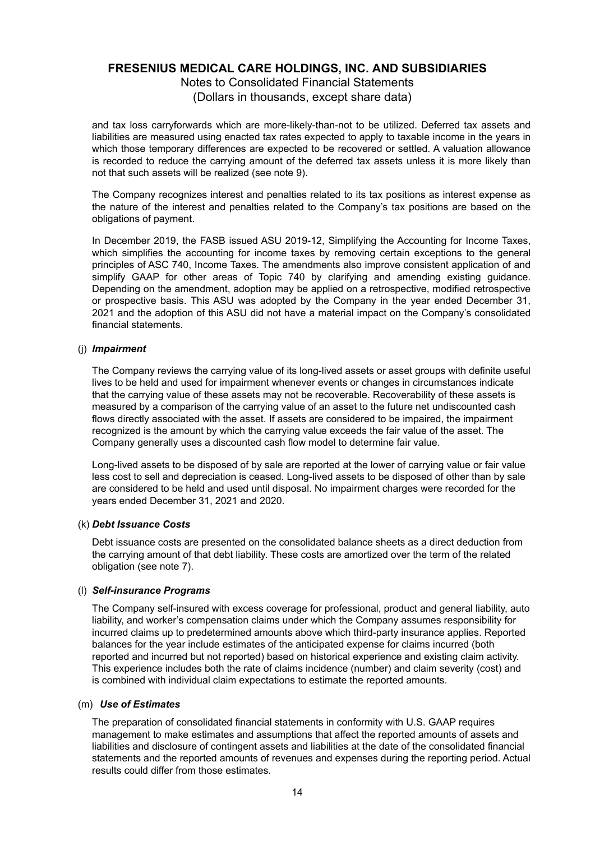Notes to Consolidated Financial Statements (Dollars in thousands, except share data)

and tax loss carryforwards which are more-likely-than-not to be utilized. Deferred tax assets and liabilities are measured using enacted tax rates expected to apply to taxable income in the years in which those temporary differences are expected to be recovered or settled. A valuation allowance is recorded to reduce the carrying amount of the deferred tax assets unless it is more likely than not that such assets will be realized (see note 9).

The Company recognizes interest and penalties related to its tax positions as interest expense as the nature of the interest and penalties related to the Company's tax positions are based on the obligations of payment.

In December 2019, the FASB issued ASU 2019-12, Simplifying the Accounting for Income Taxes, which simplifies the accounting for income taxes by removing certain exceptions to the general principles of ASC 740, Income Taxes. The amendments also improve consistent application of and simplify GAAP for other areas of Topic 740 by clarifying and amending existing guidance. Depending on the amendment, adoption may be applied on a retrospective, modified retrospective or prospective basis. This ASU was adopted by the Company in the year ended December 31, 2021 and the adoption of this ASU did not have a material impact on the Company's consolidated financial statements.

### (j) *Impairment*

The Company reviews the carrying value of its long-lived assets or asset groups with definite useful lives to be held and used for impairment whenever events or changes in circumstances indicate that the carrying value of these assets may not be recoverable. Recoverability of these assets is measured by a comparison of the carrying value of an asset to the future net undiscounted cash flows directly associated with the asset. If assets are considered to be impaired, the impairment recognized is the amount by which the carrying value exceeds the fair value of the asset. The Company generally uses a discounted cash flow model to determine fair value.

Long-lived assets to be disposed of by sale are reported at the lower of carrying value or fair value less cost to sell and depreciation is ceased. Long-lived assets to be disposed of other than by sale are considered to be held and used until disposal. No impairment charges were recorded for the years ended December 31, 2021 and 2020.

#### (k) *Debt Issuance Costs*

Debt issuance costs are presented on the consolidated balance sheets as a direct deduction from the carrying amount of that debt liability. These costs are amortized over the term of the related obligation (see note 7).

#### (l) *Self-insurance Programs*

The Company self-insured with excess coverage for professional, product and general liability, auto liability, and worker's compensation claims under which the Company assumes responsibility for incurred claims up to predetermined amounts above which third-party insurance applies. Reported balances for the year include estimates of the anticipated expense for claims incurred (both reported and incurred but not reported) based on historical experience and existing claim activity. This experience includes both the rate of claims incidence (number) and claim severity (cost) and is combined with individual claim expectations to estimate the reported amounts.

#### (m) *Use of Estimates*

The preparation of consolidated financial statements in conformity with U.S. GAAP requires management to make estimates and assumptions that affect the reported amounts of assets and liabilities and disclosure of contingent assets and liabilities at the date of the consolidated financial statements and the reported amounts of revenues and expenses during the reporting period. Actual results could differ from those estimates.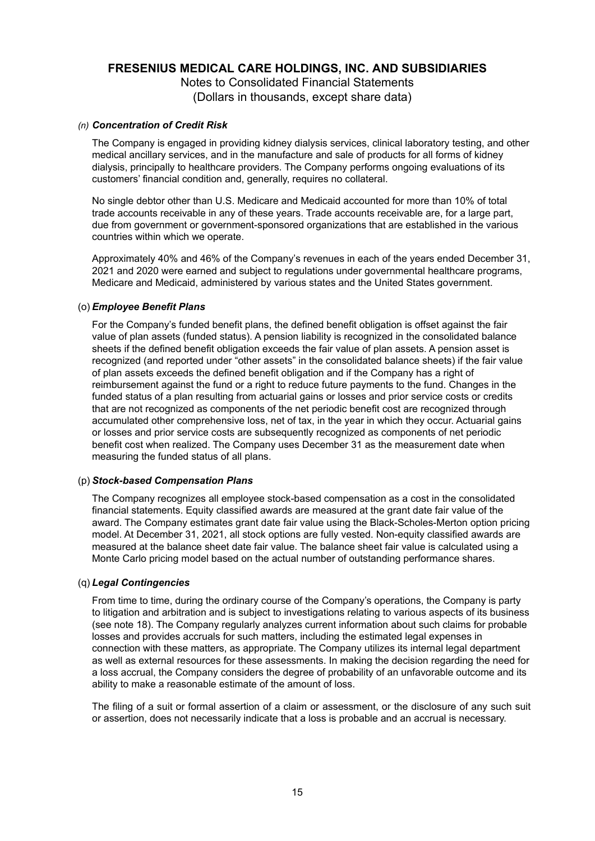Notes to Consolidated Financial Statements (Dollars in thousands, except share data)

#### *(n) Concentration of Credit Risk*

The Company is engaged in providing kidney dialysis services, clinical laboratory testing, and other medical ancillary services, and in the manufacture and sale of products for all forms of kidney dialysis, principally to healthcare providers. The Company performs ongoing evaluations of its customers' financial condition and, generally, requires no collateral.

No single debtor other than U.S. Medicare and Medicaid accounted for more than 10% of total trade accounts receivable in any of these years. Trade accounts receivable are, for a large part, due from government or government-sponsored organizations that are established in the various countries within which we operate.

Approximately 40% and 46% of the Company's revenues in each of the years ended December 31, 2021 and 2020 were earned and subject to regulations under governmental healthcare programs, Medicare and Medicaid, administered by various states and the United States government.

#### (o) *Employee Benefit Plans*

For the Company's funded benefit plans, the defined benefit obligation is offset against the fair value of plan assets (funded status). A pension liability is recognized in the consolidated balance sheets if the defined benefit obligation exceeds the fair value of plan assets. A pension asset is recognized (and reported under "other assets" in the consolidated balance sheets) if the fair value of plan assets exceeds the defined benefit obligation and if the Company has a right of reimbursement against the fund or a right to reduce future payments to the fund. Changes in the funded status of a plan resulting from actuarial gains or losses and prior service costs or credits that are not recognized as components of the net periodic benefit cost are recognized through accumulated other comprehensive loss, net of tax, in the year in which they occur. Actuarial gains or losses and prior service costs are subsequently recognized as components of net periodic benefit cost when realized. The Company uses December 31 as the measurement date when measuring the funded status of all plans.

### (p) *Stock-based Compensation Plans*

The Company recognizes all employee stock-based compensation as a cost in the consolidated financial statements. Equity classified awards are measured at the grant date fair value of the award. The Company estimates grant date fair value using the Black-Scholes-Merton option pricing model. At December 31, 2021, all stock options are fully vested. Non-equity classified awards are measured at the balance sheet date fair value. The balance sheet fair value is calculated using a Monte Carlo pricing model based on the actual number of outstanding performance shares.

#### (q) *Legal Contingencies*

From time to time, during the ordinary course of the Company's operations, the Company is party to litigation and arbitration and is subject to investigations relating to various aspects of its business (see note 18). The Company regularly analyzes current information about such claims for probable losses and provides accruals for such matters, including the estimated legal expenses in connection with these matters, as appropriate. The Company utilizes its internal legal department as well as external resources for these assessments. In making the decision regarding the need for a loss accrual, the Company considers the degree of probability of an unfavorable outcome and its ability to make a reasonable estimate of the amount of loss.

The filing of a suit or formal assertion of a claim or assessment, or the disclosure of any such suit or assertion, does not necessarily indicate that a loss is probable and an accrual is necessary.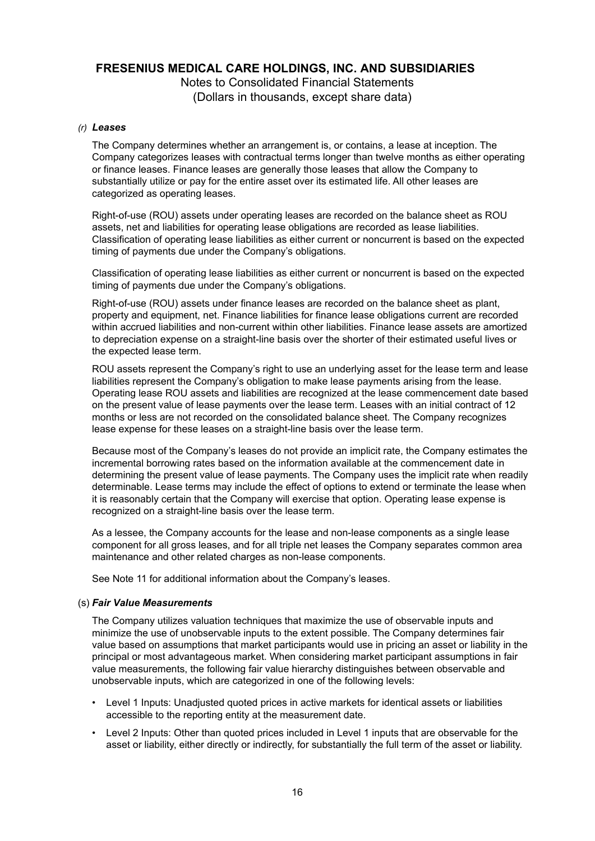Notes to Consolidated Financial Statements (Dollars in thousands, except share data)

#### *(r) Leases*

The Company determines whether an arrangement is, or contains, a lease at inception. The Company categorizes leases with contractual terms longer than twelve months as either operating or finance leases. Finance leases are generally those leases that allow the Company to substantially utilize or pay for the entire asset over its estimated life. All other leases are categorized as operating leases.

Right-of-use (ROU) assets under operating leases are recorded on the balance sheet as ROU assets, net and liabilities for operating lease obligations are recorded as lease liabilities. Classification of operating lease liabilities as either current or noncurrent is based on the expected timing of payments due under the Company's obligations.

Classification of operating lease liabilities as either current or noncurrent is based on the expected timing of payments due under the Company's obligations.

Right-of-use (ROU) assets under finance leases are recorded on the balance sheet as plant, property and equipment, net. Finance liabilities for finance lease obligations current are recorded within accrued liabilities and non-current within other liabilities. Finance lease assets are amortized to depreciation expense on a straight-line basis over the shorter of their estimated useful lives or the expected lease term.

ROU assets represent the Company's right to use an underlying asset for the lease term and lease liabilities represent the Company's obligation to make lease payments arising from the lease. Operating lease ROU assets and liabilities are recognized at the lease commencement date based on the present value of lease payments over the lease term. Leases with an initial contract of 12 months or less are not recorded on the consolidated balance sheet. The Company recognizes lease expense for these leases on a straight-line basis over the lease term.

Because most of the Company's leases do not provide an implicit rate, the Company estimates the incremental borrowing rates based on the information available at the commencement date in determining the present value of lease payments. The Company uses the implicit rate when readily determinable. Lease terms may include the effect of options to extend or terminate the lease when it is reasonably certain that the Company will exercise that option. Operating lease expense is recognized on a straight-line basis over the lease term.

As a lessee, the Company accounts for the lease and non-lease components as a single lease component for all gross leases, and for all triple net leases the Company separates common area maintenance and other related charges as non-lease components.

See Note 11 for additional information about the Company's leases.

#### (s) *Fair Value Measurements*

The Company utilizes valuation techniques that maximize the use of observable inputs and minimize the use of unobservable inputs to the extent possible. The Company determines fair value based on assumptions that market participants would use in pricing an asset or liability in the principal or most advantageous market. When considering market participant assumptions in fair value measurements, the following fair value hierarchy distinguishes between observable and unobservable inputs, which are categorized in one of the following levels:

- Level 1 Inputs: Unadjusted quoted prices in active markets for identical assets or liabilities accessible to the reporting entity at the measurement date.
- Level 2 Inputs: Other than quoted prices included in Level 1 inputs that are observable for the asset or liability, either directly or indirectly, for substantially the full term of the asset or liability.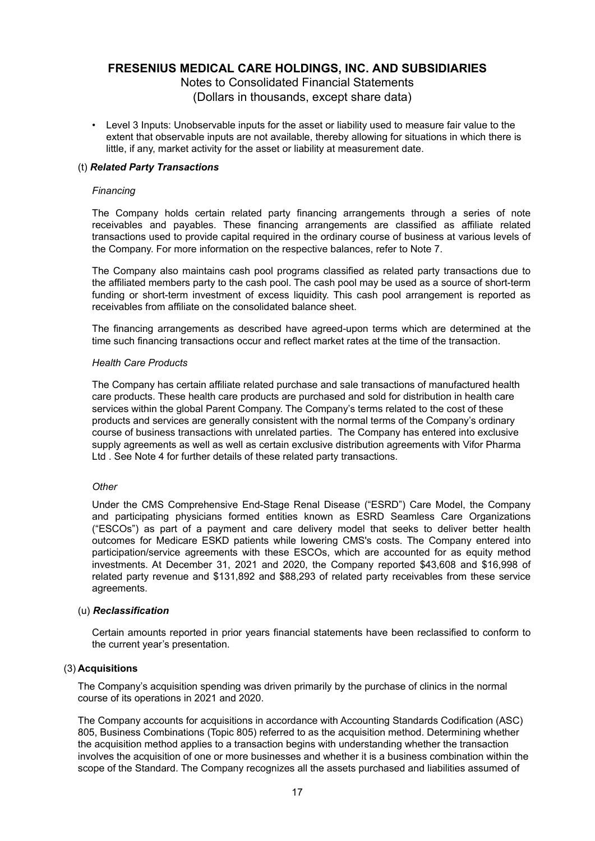Notes to Consolidated Financial Statements (Dollars in thousands, except share data)

• Level 3 Inputs: Unobservable inputs for the asset or liability used to measure fair value to the extent that observable inputs are not available, thereby allowing for situations in which there is little, if any, market activity for the asset or liability at measurement date.

#### (t) *Related Party Transactions*

#### *Financing*

The Company holds certain related party financing arrangements through a series of note receivables and payables. These financing arrangements are classified as affiliate related transactions used to provide capital required in the ordinary course of business at various levels of the Company. For more information on the respective balances, refer to Note 7.

The Company also maintains cash pool programs classified as related party transactions due to the affiliated members party to the cash pool. The cash pool may be used as a source of short-term funding or short-term investment of excess liquidity. This cash pool arrangement is reported as receivables from affiliate on the consolidated balance sheet.

The financing arrangements as described have agreed-upon terms which are determined at the time such financing transactions occur and reflect market rates at the time of the transaction.

#### *Health Care Products*

The Company has certain affiliate related purchase and sale transactions of manufactured health care products. These health care products are purchased and sold for distribution in health care services within the global Parent Company. The Company's terms related to the cost of these products and services are generally consistent with the normal terms of the Company's ordinary course of business transactions with unrelated parties. The Company has entered into exclusive supply agreements as well as well as certain exclusive distribution agreements with Vifor Pharma Ltd . See Note 4 for further details of these related party transactions.

#### *Other*

Under the CMS Comprehensive End-Stage Renal Disease ("ESRD") Care Model, the Company and participating physicians formed entities known as ESRD Seamless Care Organizations ("ESCOs") as part of a payment and care delivery model that seeks to deliver better health outcomes for Medicare ESKD patients while lowering CMS's costs. The Company entered into participation/service agreements with these ESCOs, which are accounted for as equity method investments. At December 31, 2021 and 2020, the Company reported \$43,608 and \$16,998 of related party revenue and \$131,892 and \$88,293 of related party receivables from these service agreements.

#### (u) *Reclassification*

Certain amounts reported in prior years financial statements have been reclassified to conform to the current year's presentation.

#### (3) **Acquisitions**

The Company's acquisition spending was driven primarily by the purchase of clinics in the normal course of its operations in 2021 and 2020.

The Company accounts for acquisitions in accordance with Accounting Standards Codification (ASC) 805, Business Combinations (Topic 805) referred to as the acquisition method. Determining whether the acquisition method applies to a transaction begins with understanding whether the transaction involves the acquisition of one or more businesses and whether it is a business combination within the scope of the Standard. The Company recognizes all the assets purchased and liabilities assumed of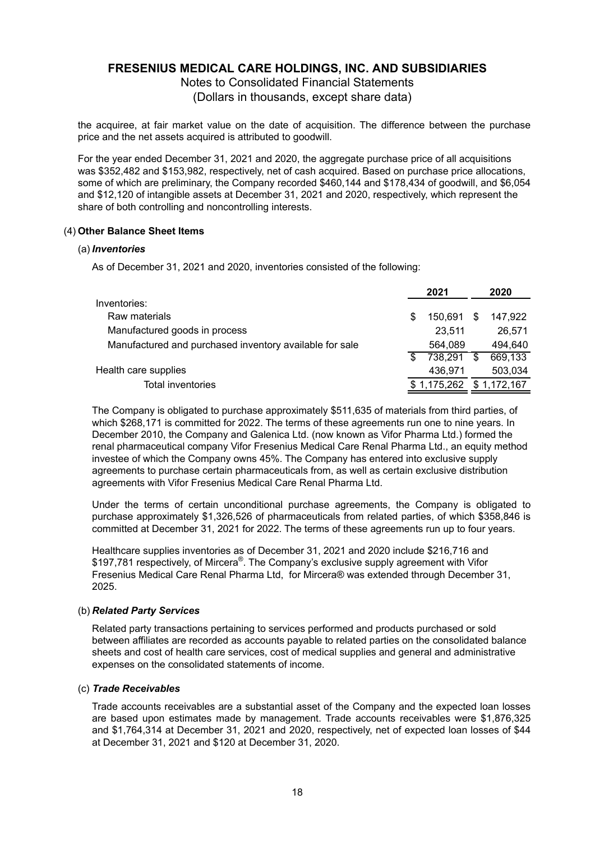Notes to Consolidated Financial Statements (Dollars in thousands, except share data)

the acquiree, at fair market value on the date of acquisition. The difference between the purchase price and the net assets acquired is attributed to goodwill.

For the year ended December 31, 2021 and 2020, the aggregate purchase price of all acquisitions was \$352,482 and \$153,982, respectively, net of cash acquired. Based on purchase price allocations, some of which are preliminary, the Company recorded \$460,144 and \$178,434 of goodwill, and \$6,054 and \$12,120 of intangible assets at December 31, 2021 and 2020, respectively, which represent the share of both controlling and noncontrolling interests.

### (4) **Other Balance Sheet Items**

#### (a) *Inventories*

As of December 31, 2021 and 2020, inventories consisted of the following:

|                                                         |     | 2021        |   | 2020        |
|---------------------------------------------------------|-----|-------------|---|-------------|
| Inventories:                                            |     |             |   |             |
| Raw materials                                           | \$  | 150.691     | S | 147,922     |
| Manufactured goods in process                           |     | 23.511      |   | 26.571      |
| Manufactured and purchased inventory available for sale |     | 564.089     |   | 494,640     |
|                                                         | \$. | 738,291     |   | 669,133     |
| Health care supplies                                    |     | 436.971     |   | 503,034     |
| Total inventories                                       |     | \$1,175,262 |   | \$1,172,167 |

The Company is obligated to purchase approximately \$511,635 of materials from third parties, of which \$268,171 is committed for 2022. The terms of these agreements run one to nine years. In December 2010, the Company and Galenica Ltd. (now known as Vifor Pharma Ltd.) formed the renal pharmaceutical company Vifor Fresenius Medical Care Renal Pharma Ltd., an equity method investee of which the Company owns 45%. The Company has entered into exclusive supply agreements to purchase certain pharmaceuticals from, as well as certain exclusive distribution agreements with Vifor Fresenius Medical Care Renal Pharma Ltd.

Under the terms of certain unconditional purchase agreements, the Company is obligated to purchase approximately \$1,326,526 of pharmaceuticals from related parties, of which \$358,846 is committed at December 31, 2021 for 2022. The terms of these agreements run up to four years.

Healthcare supplies inventories as of December 31, 2021 and 2020 include \$216,716 and \$197,781 respectively, of Mircera®. The Company's exclusive supply agreement with Vifor Fresenius Medical Care Renal Pharma Ltd, for Mircera® was extended through December 31, 2025.

#### (b) *Related Party Services*

Related party transactions pertaining to services performed and products purchased or sold between affiliates are recorded as accounts payable to related parties on the consolidated balance sheets and cost of health care services, cost of medical supplies and general and administrative expenses on the consolidated statements of income.

#### (c) *Trade Receivables*

Trade accounts receivables are a substantial asset of the Company and the expected loan losses are based upon estimates made by management. Trade accounts receivables were \$1,876,325 and \$1,764,314 at December 31, 2021 and 2020, respectively, net of expected loan losses of \$44 at December 31, 2021 and \$120 at December 31, 2020.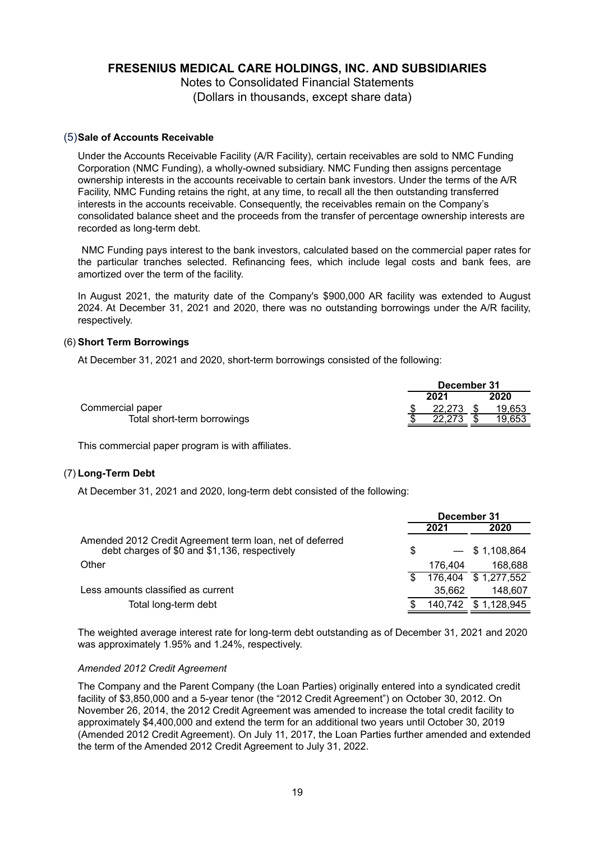Notes to Consolidated Financial Statements (Dollars in thousands, except share data)

### (5)**Sale of Accounts Receivable**

Under the Accounts Receivable Facility (A/R Facility), certain receivables are sold to NMC Funding Corporation (NMC Funding), a wholly-owned subsidiary. NMC Funding then assigns percentage ownership interests in the accounts receivable to certain bank investors. Under the terms of the A/R Facility, NMC Funding retains the right, at any time, to recall all the then outstanding transferred interests in the accounts receivable. Consequently, the receivables remain on the Company's consolidated balance sheet and the proceeds from the transfer of percentage ownership interests are recorded as long-term debt.

NMC Funding pays interest to the bank investors, calculated based on the commercial paper rates for the particular tranches selected. Refinancing fees, which include legal costs and bank fees, are amortized over the term of the facility.

In August 2021, the maturity date of the Company's \$900,000 AR facility was extended to August 2024. At December 31, 2021 and 2020, there was no outstanding borrowings under the A/R facility, respectively.

#### (6) **Short Term Borrowings**

At December 31, 2021 and 2020, short-term borrowings consisted of the following:

|                             |        | December 31 |  |  |  |
|-----------------------------|--------|-------------|--|--|--|
|                             | 2021   | 2020        |  |  |  |
| Commercial paper            | 22,273 | 19,653      |  |  |  |
| Total short-term borrowings | 22.273 | 19.653      |  |  |  |

This commercial paper program is with affiliates.

### (7) **Long-Term Debt**

At December 31, 2021 and 2020, long-term debt consisted of the following:

|                                                                                                           | December 31 |         |                                   |  |
|-----------------------------------------------------------------------------------------------------------|-------------|---------|-----------------------------------|--|
|                                                                                                           |             | 2021    | 2020                              |  |
| Amended 2012 Credit Agreement term loan, net of deferred<br>debt charges of \$0 and \$1,136, respectively |             |         | $-$ \$ 1,108,864                  |  |
| Other                                                                                                     |             | 176.404 | 168,688                           |  |
|                                                                                                           |             |         | $\overline{176,404}$ \$ 1,277,552 |  |
| Less amounts classified as current                                                                        |             | 35.662  | 148,607                           |  |
| Total long-term debt                                                                                      |             |         | 140,742 \$1,128,945               |  |

The weighted average interest rate for long-term debt outstanding as of December 31, 2021 and 2020 was approximately 1.95% and 1.24%, respectively.

#### *Amended 2012 Credit Agreement*

The Company and the Parent Company (the Loan Parties) originally entered into a syndicated credit facility of \$3,850,000 and a 5-year tenor (the "2012 Credit Agreement") on October 30, 2012. On November 26, 2014, the 2012 Credit Agreement was amended to increase the total credit facility to approximately \$4,400,000 and extend the term for an additional two years until October 30, 2019 (Amended 2012 Credit Agreement). On July 11, 2017, the Loan Parties further amended and extended the term of the Amended 2012 Credit Agreement to July 31, 2022.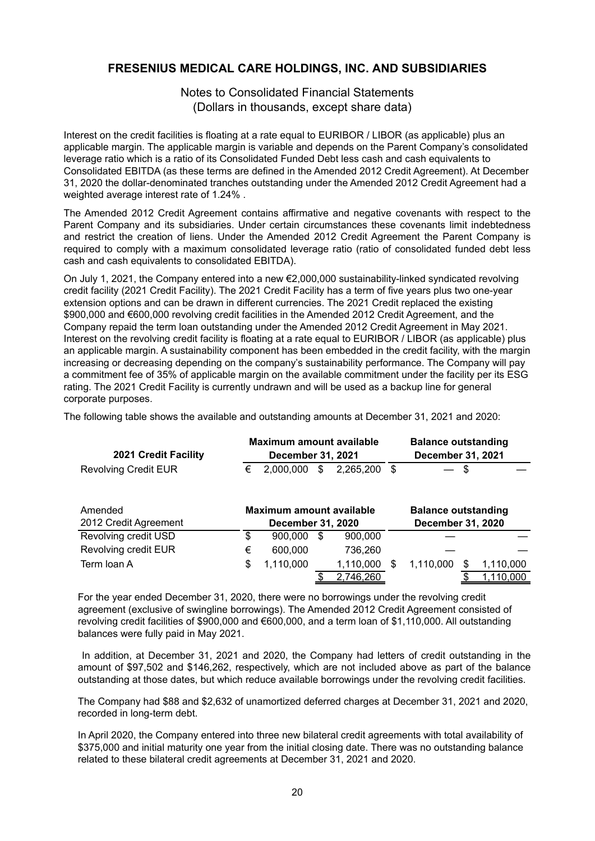Notes to Consolidated Financial Statements (Dollars in thousands, except share data)

Interest on the credit facilities is floating at a rate equal to EURIBOR / LIBOR (as applicable) plus an applicable margin. The applicable margin is variable and depends on the Parent Company's consolidated leverage ratio which is a ratio of its Consolidated Funded Debt less cash and cash equivalents to Consolidated EBITDA (as these terms are defined in the Amended 2012 Credit Agreement). At December 31, 2020 the dollar-denominated tranches outstanding under the Amended 2012 Credit Agreement had a weighted average interest rate of 1.24% .

The Amended 2012 Credit Agreement contains affirmative and negative covenants with respect to the Parent Company and its subsidiaries. Under certain circumstances these covenants limit indebtedness and restrict the creation of liens. Under the Amended 2012 Credit Agreement the Parent Company is required to comply with a maximum consolidated leverage ratio (ratio of consolidated funded debt less cash and cash equivalents to consolidated EBITDA).

On July 1, 2021, the Company entered into a new €2,000,000 sustainability-linked syndicated revolving credit facility (2021 Credit Facility). The 2021 Credit Facility has a term of five years plus two one-year extension options and can be drawn in different currencies. The 2021 Credit replaced the existing \$900,000 and €600,000 revolving credit facilities in the Amended 2012 Credit Agreement, and the Company repaid the term loan outstanding under the Amended 2012 Credit Agreement in May 2021. Interest on the revolving credit facility is floating at a rate equal to EURIBOR / LIBOR (as applicable) plus an applicable margin. A sustainability component has been embedded in the credit facility, with the margin increasing or decreasing depending on the company's sustainability performance. The Company will pay a commitment fee of 35% of applicable margin on the available commitment under the facility per its ESG rating. The 2021 Credit Facility is currently undrawn and will be used as a backup line for general corporate purposes.

The following table shows the available and outstanding amounts at December 31, 2021 and 2020:

| <b>2021 Credit Facility</b>      | Maximum amount available<br><b>December 31, 2021</b> |           |    |                        | <b>Balance outstanding</b><br><b>December 31, 2021</b> |                                                        |   |                        |  |
|----------------------------------|------------------------------------------------------|-----------|----|------------------------|--------------------------------------------------------|--------------------------------------------------------|---|------------------------|--|
| <b>Revolving Credit EUR</b>      | €                                                    | 2.000.000 | \$ | 2,265,200              | \$                                                     |                                                        | S |                        |  |
| Amended<br>2012 Credit Agreement | Maximum amount available<br><b>December 31, 2020</b> |           |    |                        |                                                        | <b>Balance outstanding</b><br><b>December 31, 2020</b> |   |                        |  |
| Revolving credit USD             | \$                                                   | 900,000   | Ъ  | 900,000                |                                                        |                                                        |   |                        |  |
| Revolving credit EUR             | €                                                    | 600,000   |    | 736,260                |                                                        |                                                        |   |                        |  |
| Term Ioan A                      | \$                                                   | 1,110,000 |    | 1,110,000<br>2,746,260 | S                                                      | 1,110,000                                              | S | 1,110,000<br>1,110,000 |  |

For the year ended December 31, 2020, there were no borrowings under the revolving credit agreement (exclusive of swingline borrowings). The Amended 2012 Credit Agreement consisted of revolving credit facilities of \$900,000 and €600,000, and a term loan of \$1,110,000. All outstanding balances were fully paid in May 2021.

 In addition, at December 31, 2021 and 2020, the Company had letters of credit outstanding in the amount of \$97,502 and \$146,262, respectively, which are not included above as part of the balance outstanding at those dates, but which reduce available borrowings under the revolving credit facilities.

The Company had \$88 and \$2,632 of unamortized deferred charges at December 31, 2021 and 2020, recorded in long-term debt.

In April 2020, the Company entered into three new bilateral credit agreements with total availability of \$375,000 and initial maturity one year from the initial closing date. There was no outstanding balance related to these bilateral credit agreements at December 31, 2021 and 2020.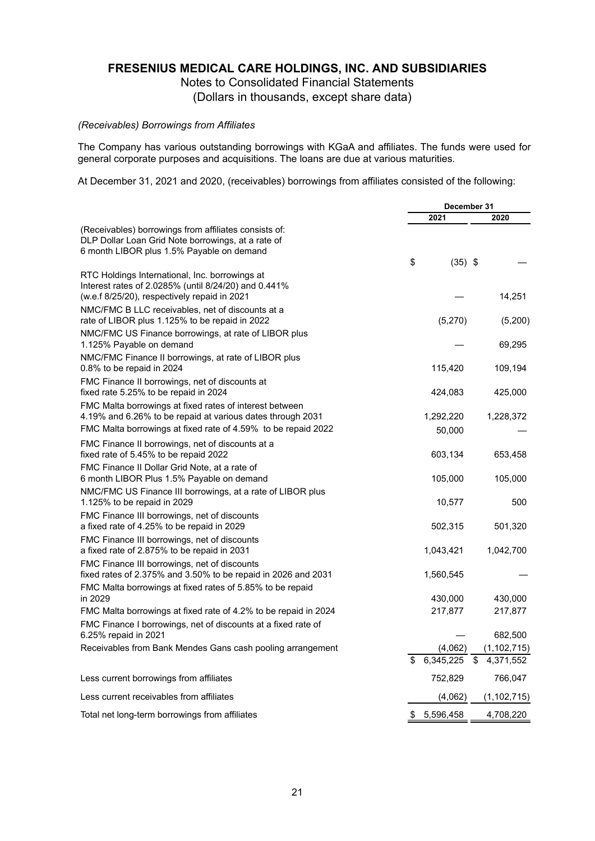Notes to Consolidated Financial Statements

(Dollars in thousands, except share data)

#### *(Receivables) Borrowings from Affiliates*

The Company has various outstanding borrowings with KGaA and affiliates. The funds were used for general corporate purposes and acquisitions. The loans are due at various maturities.

At December 31, 2021 and 2020, (receivables) borrowings from affiliates consisted of the following:

|                                                                                                 | December 31 |           |                   |     |
|-------------------------------------------------------------------------------------------------|-------------|-----------|-------------------|-----|
|                                                                                                 |             | 2021      | 2020              |     |
| (Receivables) borrowings from affiliates consists of:                                           |             |           |                   |     |
| DLP Dollar Loan Grid Note borrowings, at a rate of<br>6 month LIBOR plus 1.5% Payable on demand |             |           |                   |     |
|                                                                                                 | \$          | $(35)$ \$ |                   |     |
| RTC Holdings International, Inc. borrowings at                                                  |             |           |                   |     |
| Interest rates of 2.0285% (until 8/24/20) and 0.441%                                            |             |           |                   |     |
| (w.e.f 8/25/20), respectively repaid in 2021                                                    |             |           | 14,251            |     |
| NMC/FMC B LLC receivables, net of discounts at a                                                |             |           |                   |     |
| rate of LIBOR plus 1.125% to be repaid in 2022                                                  |             | (5,270)   | (5,200)           |     |
| NMC/FMC US Finance borrowings, at rate of LIBOR plus                                            |             |           |                   |     |
| 1.125% Payable on demand                                                                        |             |           | 69,295            |     |
| NMC/FMC Finance II borrowings, at rate of LIBOR plus<br>0.8% to be repaid in 2024               |             | 115,420   | 109,194           |     |
| FMC Finance II borrowings, net of discounts at                                                  |             |           |                   |     |
| fixed rate 5.25% to be repaid in 2024                                                           |             | 424,083   | 425,000           |     |
| FMC Malta borrowings at fixed rates of interest between                                         |             |           |                   |     |
| 4.19% and 6.26% to be repaid at various dates through 2031                                      |             | 1,292,220 | 1,228,372         |     |
| FMC Malta borrowings at fixed rate of 4.59% to be repaid 2022                                   |             | 50,000    |                   |     |
| FMC Finance II borrowings, net of discounts at a                                                |             |           |                   |     |
| fixed rate of 5.45% to be repaid 2022                                                           |             | 603,134   | 653,458           |     |
| FMC Finance II Dollar Grid Note, at a rate of                                                   |             |           |                   |     |
| 6 month LIBOR Plus 1.5% Payable on demand                                                       |             | 105,000   | 105,000           |     |
| NMC/FMC US Finance III borrowings, at a rate of LIBOR plus                                      |             |           |                   |     |
| 1.125% to be repaid in 2029                                                                     |             | 10,577    |                   | 500 |
| FMC Finance III borrowings, net of discounts<br>a fixed rate of 4.25% to be repaid in 2029      |             | 502,315   | 501,320           |     |
| FMC Finance III borrowings, net of discounts                                                    |             |           |                   |     |
| a fixed rate of 2.875% to be repaid in 2031                                                     |             | 1,043,421 | 1,042,700         |     |
| FMC Finance III borrowings, net of discounts                                                    |             |           |                   |     |
| fixed rates of 2.375% and 3.50% to be repaid in 2026 and 2031                                   |             | 1,560,545 |                   |     |
| FMC Malta borrowings at fixed rates of 5.85% to be repaid                                       |             |           |                   |     |
| in 2029                                                                                         |             | 430,000   | 430,000           |     |
| FMC Malta borrowings at fixed rate of 4.2% to be repaid in 2024                                 |             | 217,877   | 217,877           |     |
| FMC Finance I borrowings, net of discounts at a fixed rate of                                   |             |           |                   |     |
| 6.25% repaid in 2021                                                                            |             |           | 682,500           |     |
| Receivables from Bank Mendes Gans cash pooling arrangement                                      |             | (4,062)   | (1, 102, 715)     |     |
|                                                                                                 | \$          | 6,345,225 | - \$<br>4,371,552 |     |
| Less current borrowings from affiliates                                                         |             | 752,829   | 766,047           |     |
| Less current receivables from affiliates                                                        |             | (4,062)   | (1, 102, 715)     |     |
| Total net long-term borrowings from affiliates                                                  | \$          | 5,596,458 | 4,708,220         |     |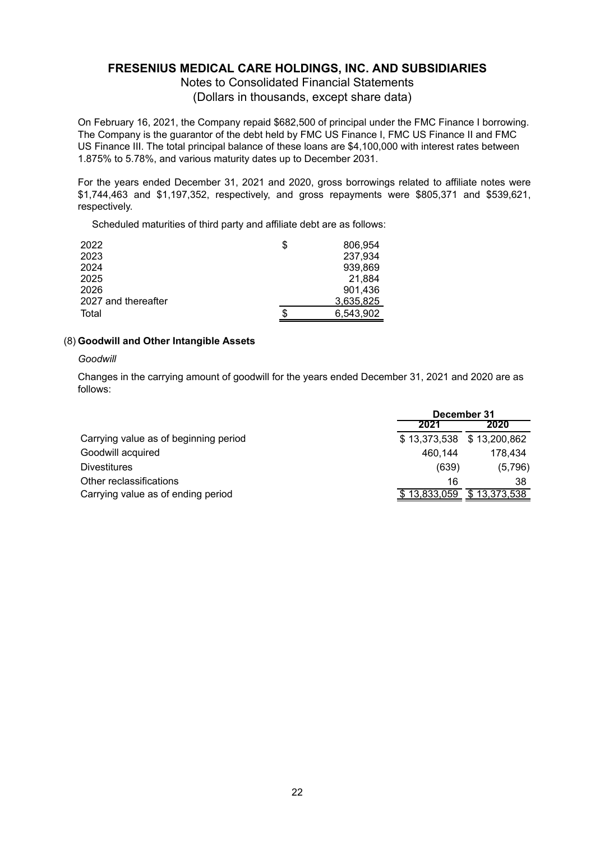Notes to Consolidated Financial Statements (Dollars in thousands, except share data)

On February 16, 2021, the Company repaid \$682,500 of principal under the FMC Finance I borrowing. The Company is the guarantor of the debt held by FMC US Finance I, FMC US Finance II and FMC US Finance III. The total principal balance of these loans are \$4,100,000 with interest rates between 1.875% to 5.78%, and various maturity dates up to December 2031.

For the years ended December 31, 2021 and 2020, gross borrowings related to affiliate notes were \$1,744,463 and \$1,197,352, respectively, and gross repayments were \$805,371 and \$539,621, respectively.

Scheduled maturities of third party and affiliate debt are as follows:

| 2022                | \$<br>806.954 |
|---------------------|---------------|
| 2023                | 237,934       |
| 2024                | 939,869       |
| 2025                | 21,884        |
| 2026                | 901,436       |
| 2027 and thereafter | 3,635,825     |
| Total               | 6,543,902     |
|                     |               |

### (8) **Goodwill and Other Intangible Assets**

### *Goodwill*

Changes in the carrying amount of goodwill for the years ended December 31, 2021 and 2020 are as follows:

|                                       | December 31               |              |  |  |
|---------------------------------------|---------------------------|--------------|--|--|
|                                       | 2021                      | 2020         |  |  |
| Carrying value as of beginning period | \$13,373,538 \$13,200,862 |              |  |  |
| Goodwill acquired                     | 460.144                   | 178.434      |  |  |
| <b>Divestitures</b>                   | (639)                     | (5,796)      |  |  |
| Other reclassifications               | 16                        | 38           |  |  |
| Carrying value as of ending period    | \$13,833,059              | \$13,373,538 |  |  |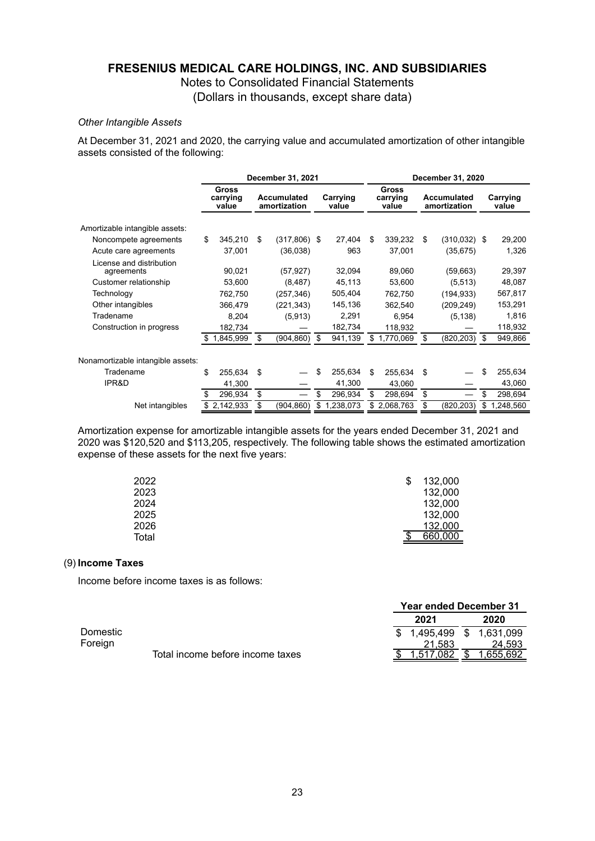Notes to Consolidated Financial Statements

(Dollars in thousands, except share data)

### *Other Intangible Assets*

At December 31, 2021 and 2020, the carrying value and accumulated amortization of other intangible assets consisted of the following:

|                                        | December 31, 2021 |                                   |                                                         |                 | December 31, 2020          |    |                                    |    |                 |                   |           |
|----------------------------------------|-------------------|-----------------------------------|---------------------------------------------------------|-----------------|----------------------------|----|------------------------------------|----|-----------------|-------------------|-----------|
|                                        |                   | <b>Gross</b><br>carrying<br>value | <b>Accumulated</b><br>Carrying<br>amortization<br>value |                 | Gross<br>carrying<br>value |    | <b>Accumulated</b><br>amortization |    |                 | Carrying<br>value |           |
| Amortizable intangible assets:         |                   |                                   |                                                         |                 |                            |    |                                    |    |                 |                   |           |
| Noncompete agreements                  | \$                | 345,210                           | \$                                                      | $(317,806)$ \$  | 27,404                     | \$ | 339,232                            | \$ | $(310, 032)$ \$ |                   | 29,200    |
| Acute care agreements                  |                   | 37,001                            |                                                         | (36,038)        | 963                        |    | 37,001                             |    | (35, 675)       |                   | 1,326     |
| License and distribution<br>agreements |                   | 90,021                            |                                                         | (57, 927)       | 32,094                     |    | 89,060                             |    | (59,663)        |                   | 29,397    |
| Customer relationship                  |                   | 53,600                            |                                                         | (8, 487)        | 45,113                     |    | 53.600                             |    | (5,513)         |                   | 48,087    |
| Technology                             |                   | 762,750                           |                                                         | (257, 346)      | 505,404                    |    | 762,750                            |    | (194, 933)      |                   | 567,817   |
| Other intangibles                      |                   | 366,479                           |                                                         | (221, 343)      | 145,136                    |    | 362,540                            |    | (209, 249)      |                   | 153,291   |
| Tradename                              |                   | 8,204                             |                                                         | (5, 913)        | 2,291                      |    | 6,954                              |    | (5, 138)        |                   | 1,816     |
| Construction in progress               |                   | 182,734                           |                                                         |                 | 182,734                    |    | 118,932                            |    |                 |                   | 118,932   |
|                                        | \$                | 1,845,999                         | \$                                                      | $(904, 860)$ \$ | 941,139                    | \$ | 1,770,069                          | S  | (820, 203)      | \$                | 949,866   |
| Nonamortizable intangible assets:      |                   |                                   |                                                         |                 |                            |    |                                    |    |                 |                   |           |
| Tradename                              | \$                | 255,634                           | \$                                                      |                 | 255,634                    | \$ | 255,634                            | \$ |                 | \$                | 255,634   |
| IPR&D                                  |                   | 41,300                            |                                                         |                 | 41,300                     |    | 43,060                             |    |                 |                   | 43,060    |
|                                        | S.                | 296,934                           | \$                                                      |                 | 296,934                    | \$ | 298,694                            | \$ |                 |                   | 298,694   |
| Net intangibles                        |                   | \$2,142,933                       | \$                                                      | (904, 860)      | \$<br>1,238,073            |    | \$2,068,763                        | \$ | (820,203)       | \$                | 1,248,560 |

Amortization expense for amortizable intangible assets for the years ended December 31, 2021 and 2020 was \$120,520 and \$113,205, respectively. The following table shows the estimated amortization expense of these assets for the next five years:

| 2022  |  | 132,000 |
|-------|--|---------|
| 2023  |  | 132,000 |
| 2024  |  | 132,000 |
| 2025  |  | 132,000 |
| 2026  |  | 132,000 |
| Total |  | 660,000 |

### (9) **Income Taxes**

Income before income taxes is as follows:

|          |                                  | <b>Year ended December 31</b> |      |            |  |  |
|----------|----------------------------------|-------------------------------|------|------------|--|--|
|          |                                  | 2021                          |      | 2020       |  |  |
| Domestic |                                  | \$1,495,499                   | - SS | 1,631,099  |  |  |
| Foreign  |                                  | 21.583                        |      | 24,593     |  |  |
|          | Total income before income taxes | .517.082                      |      | 855.692. ا |  |  |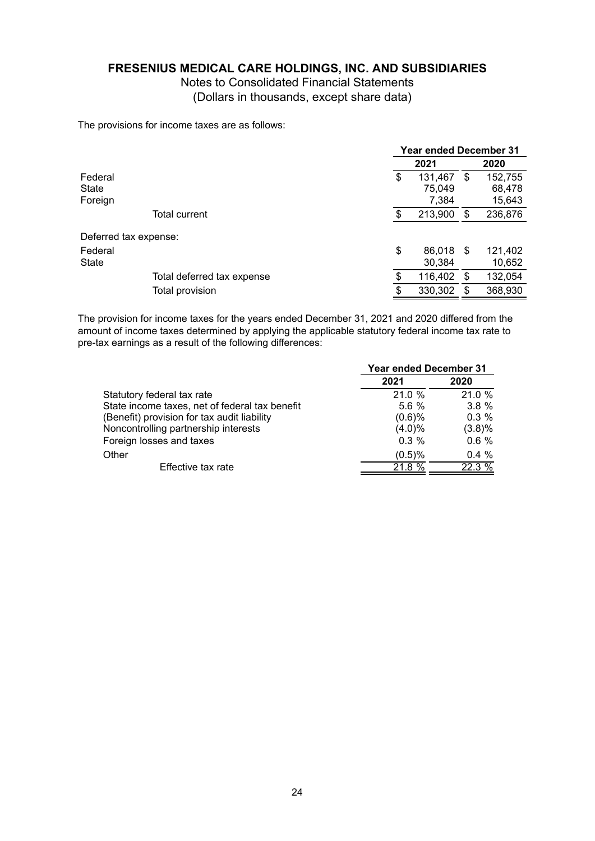Notes to Consolidated Financial Statements (Dollars in thousands, except share data)

The provisions for income taxes are as follows:

| <b>Year ended December 31</b> |         |   |           |  |  |
|-------------------------------|---------|---|-----------|--|--|
|                               | 2021    |   | 2020      |  |  |
| \$                            | 131,467 | S | 152,755   |  |  |
|                               | 75,049  |   | 68,478    |  |  |
|                               | 7,384   |   | 15,643    |  |  |
|                               | 213,900 | S | 236,876   |  |  |
|                               |         |   |           |  |  |
| \$                            |         |   | 121,402   |  |  |
|                               | 30,384  |   | 10,652    |  |  |
| S                             | 116,402 | S | 132,054   |  |  |
|                               | 330,302 | S | 368,930   |  |  |
|                               |         |   | 86,018 \$ |  |  |

The provision for income taxes for the years ended December 31, 2021 and 2020 differed from the amount of income taxes determined by applying the applicable statutory federal income tax rate to pre-tax earnings as a result of the following differences:

|                                                | <b>Year ended December 31</b> |          |
|------------------------------------------------|-------------------------------|----------|
|                                                | 2021                          | 2020     |
| Statutory federal tax rate                     | 21.0%                         | 21.0 %   |
| State income taxes, net of federal tax benefit | 5.6 %                         | 3.8%     |
| (Benefit) provision for tax audit liability    | $(0.6)$ %                     | $0.3\%$  |
| Noncontrolling partnership interests           | $(4.0)\%$                     | (3.8)%   |
| Foreign losses and taxes                       | 0.3%                          | $0.6 \%$ |
| Other                                          | (0.5)%                        | $0.4 \%$ |
| Effective tax rate                             | $21.\overline{8\%}$           | 22.3 %   |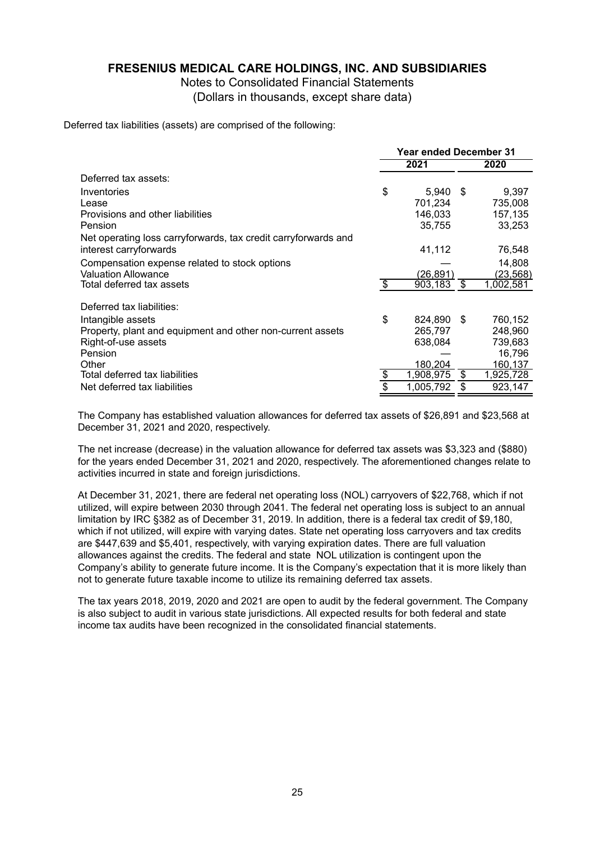Notes to Consolidated Financial Statements (Dollars in thousands, except share data)

Deferred tax liabilities (assets) are comprised of the following:

|                                                                | <b>Year ended December 31</b> |           |      |           |  |  |
|----------------------------------------------------------------|-------------------------------|-----------|------|-----------|--|--|
|                                                                |                               | 2021      |      | 2020      |  |  |
| Deferred tax assets:                                           |                               |           |      |           |  |  |
| Inventories                                                    | \$                            | 5,940     | - \$ | 9,397     |  |  |
| Lease                                                          |                               | 701,234   |      | 735,008   |  |  |
| Provisions and other liabilities                               |                               | 146,033   |      | 157,135   |  |  |
| Pension                                                        |                               | 35,755    |      | 33,253    |  |  |
| Net operating loss carryforwards, tax credit carryforwards and |                               |           |      |           |  |  |
| interest carryforwards                                         |                               | 41,112    |      | 76,548    |  |  |
| Compensation expense related to stock options                  |                               |           |      | 14,808    |  |  |
| <b>Valuation Allowance</b>                                     |                               | (26,891)  |      | (23, 568) |  |  |
| Total deferred tax assets                                      | \$                            | 903,183   | \$   | 1,002,581 |  |  |
| Deferred tax liabilities:                                      |                               |           |      |           |  |  |
| Intangible assets                                              | \$                            | 824,890   | - \$ | 760,152   |  |  |
| Property, plant and equipment and other non-current assets     |                               | 265,797   |      | 248,960   |  |  |
| Right-of-use assets                                            |                               | 638,084   |      | 739,683   |  |  |
| Pension                                                        |                               |           |      | 16.796    |  |  |
| Other                                                          |                               | 180.204   |      | 160,137   |  |  |
| Total deferred tax liabilities                                 | $\overline{\$}$               | 1,908,975 | \$   | 1,925,728 |  |  |
| Net deferred tax liabilities                                   | \$                            | 1,005,792 | \$   | 923,147   |  |  |

The Company has established valuation allowances for deferred tax assets of \$26,891 and \$23,568 at December 31, 2021 and 2020, respectively.

The net increase (decrease) in the valuation allowance for deferred tax assets was \$3,323 and (\$880) for the years ended December 31, 2021 and 2020, respectively. The aforementioned changes relate to activities incurred in state and foreign jurisdictions.

At December 31, 2021, there are federal net operating loss (NOL) carryovers of \$22,768, which if not utilized, will expire between 2030 through 2041. The federal net operating loss is subject to an annual limitation by IRC §382 as of December 31, 2019. In addition, there is a federal tax credit of \$9,180, which if not utilized, will expire with varying dates. State net operating loss carryovers and tax credits are \$447,639 and \$5,401, respectively, with varying expiration dates. There are full valuation allowances against the credits. The federal and state NOL utilization is contingent upon the Company's ability to generate future income. It is the Company's expectation that it is more likely than not to generate future taxable income to utilize its remaining deferred tax assets.

The tax years 2018, 2019, 2020 and 2021 are open to audit by the federal government. The Company is also subject to audit in various state jurisdictions. All expected results for both federal and state income tax audits have been recognized in the consolidated financial statements.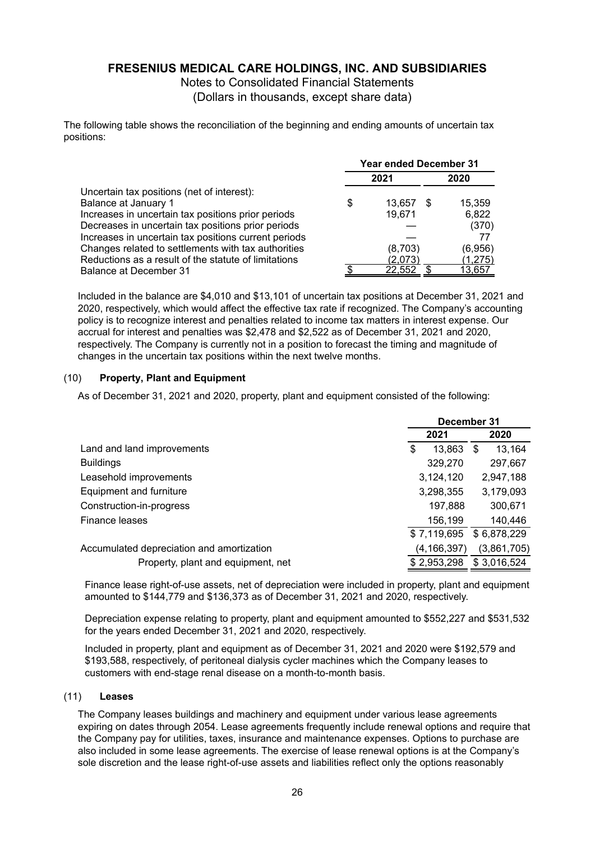Notes to Consolidated Financial Statements

(Dollars in thousands, except share data)

The following table shows the reconciliation of the beginning and ending amounts of uncertain tax positions:

|                                                      | <b>Year ended December 31</b> |         |   |         |  |
|------------------------------------------------------|-------------------------------|---------|---|---------|--|
|                                                      |                               | 2021    |   | 2020    |  |
| Uncertain tax positions (net of interest):           |                               |         |   |         |  |
| Balance at January 1                                 | \$                            | 13.657  | S | 15.359  |  |
| Increases in uncertain tax positions prior periods   |                               | 19,671  |   | 6,822   |  |
| Decreases in uncertain tax positions prior periods   |                               |         |   | (370)   |  |
| Increases in uncertain tax positions current periods |                               |         |   | 77      |  |
| Changes related to settlements with tax authorities  |                               | (8,703) |   | (6,956) |  |
| Reductions as a result of the statute of limitations |                               | (2,073) |   | (1,275) |  |
| Balance at December 31                               |                               | 22,552  |   | 13,657  |  |

Included in the balance are \$4,010 and \$13,101 of uncertain tax positions at December 31, 2021 and 2020, respectively, which would affect the effective tax rate if recognized. The Company's accounting policy is to recognize interest and penalties related to income tax matters in interest expense. Our accrual for interest and penalties was \$2,478 and \$2,522 as of December 31, 2021 and 2020, respectively. The Company is currently not in a position to forecast the timing and magnitude of changes in the uncertain tax positions within the next twelve months.

### (10) **Property, Plant and Equipment**

As of December 31, 2021 and 2020, property, plant and equipment consisted of the following:

|                                           |   | December 31   |   |             |  |
|-------------------------------------------|---|---------------|---|-------------|--|
|                                           |   | 2021          |   | 2020        |  |
| Land and land improvements                | S | 13,863        | S | 13,164      |  |
| <b>Buildings</b>                          |   | 329,270       |   | 297,667     |  |
| Leasehold improvements                    |   | 3,124,120     |   | 2,947,188   |  |
| Equipment and furniture                   |   | 3,298,355     |   | 3,179,093   |  |
| Construction-in-progress                  |   | 197,888       |   | 300,671     |  |
| Finance leases                            |   | 156,199       |   | 140,446     |  |
|                                           |   | \$7,119,695   |   | \$6,878,229 |  |
| Accumulated depreciation and amortization |   | (4, 166, 397) |   | (3,861,705) |  |
| Property, plant and equipment, net        |   | \$2,953,298   |   | \$3,016,524 |  |

Finance lease right-of-use assets, net of depreciation were included in property, plant and equipment amounted to \$144,779 and \$136,373 as of December 31, 2021 and 2020, respectively.

Depreciation expense relating to property, plant and equipment amounted to \$552,227 and \$531,532 for the years ended December 31, 2021 and 2020, respectively.

Included in property, plant and equipment as of December 31, 2021 and 2020 were \$192,579 and \$193,588, respectively, of peritoneal dialysis cycler machines which the Company leases to customers with end-stage renal disease on a month-to-month basis.

#### (11) **Leases**

The Company leases buildings and machinery and equipment under various lease agreements expiring on dates through 2054. Lease agreements frequently include renewal options and require that the Company pay for utilities, taxes, insurance and maintenance expenses. Options to purchase are also included in some lease agreements. The exercise of lease renewal options is at the Company's sole discretion and the lease right-of-use assets and liabilities reflect only the options reasonably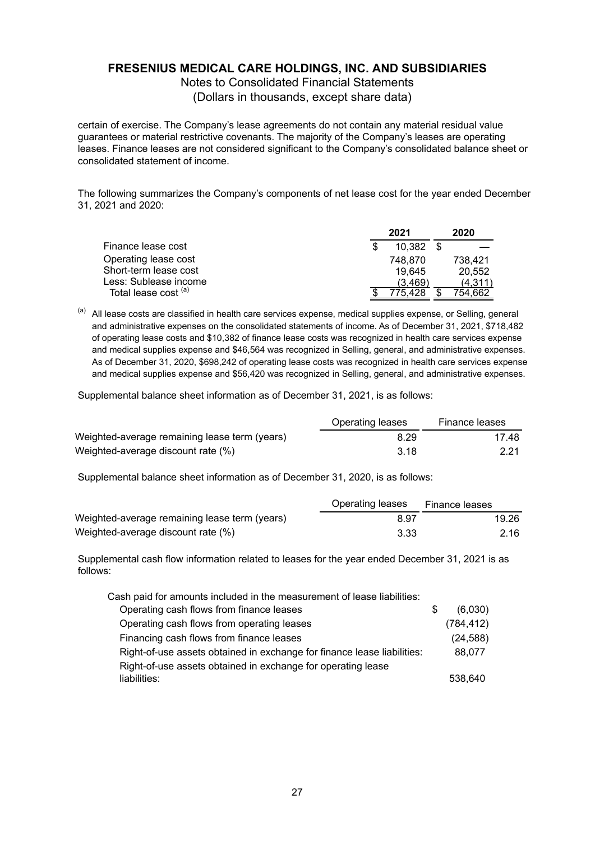Notes to Consolidated Financial Statements (Dollars in thousands, except share data)

certain of exercise. The Company's lease agreements do not contain any material residual value guarantees or material restrictive covenants. The majority of the Company's leases are operating leases. Finance leases are not considered significant to the Company's consolidated balance sheet or consolidated statement of income.

The following summarizes the Company's components of net lease cost for the year ended December 31, 2021 and 2020:

|                       | 2021    |  | 2020    |
|-----------------------|---------|--|---------|
| Finance lease cost    | 10,382  |  |         |
| Operating lease cost  | 748.870 |  | 738.421 |
| Short-term lease cost | 19.645  |  | 20.552  |
| Less: Sublease income | (3.469) |  | (4.311  |
| Total lease cost (a)  | 775.428 |  | 754.662 |

(a) All lease costs are classified in health care services expense, medical supplies expense, or Selling, general and administrative expenses on the consolidated statements of income. As of December 31, 2021, \$718,482 of operating lease costs and \$10,382 of finance lease costs was recognized in health care services expense and medical supplies expense and \$46,564 was recognized in Selling, general, and administrative expenses. As of December 31, 2020, \$698,242 of operating lease costs was recognized in health care services expense and medical supplies expense and \$56,420 was recognized in Selling, general, and administrative expenses.

Supplemental balance sheet information as of December 31, 2021, is as follows:

|                                               | Operating leases | Finance leases |
|-----------------------------------------------|------------------|----------------|
| Weighted-average remaining lease term (years) | 8.29             | 17.48          |
| Weighted-average discount rate (%)            | -3.18            | 2.21           |

Supplemental balance sheet information as of December 31, 2020, is as follows:

|                                               | Operating leases | Finance leases |
|-----------------------------------------------|------------------|----------------|
| Weighted-average remaining lease term (years) | 8.97             | 19.26          |
| Weighted-average discount rate (%)            | 3.33             | 2.16           |

Supplemental cash flow information related to leases for the year ended December 31, 2021 is as follows:

| Cash paid for amounts included in the measurement of lease liabilities: |   |            |
|-------------------------------------------------------------------------|---|------------|
| Operating cash flows from finance leases                                | S | (6,030)    |
| Operating cash flows from operating leases                              |   | (784, 412) |
| Financing cash flows from finance leases                                |   | (24, 588)  |
| Right-of-use assets obtained in exchange for finance lease liabilities: |   | 88,077     |
| Right-of-use assets obtained in exchange for operating lease            |   |            |
| liabilities:                                                            |   | 538,640    |
|                                                                         |   |            |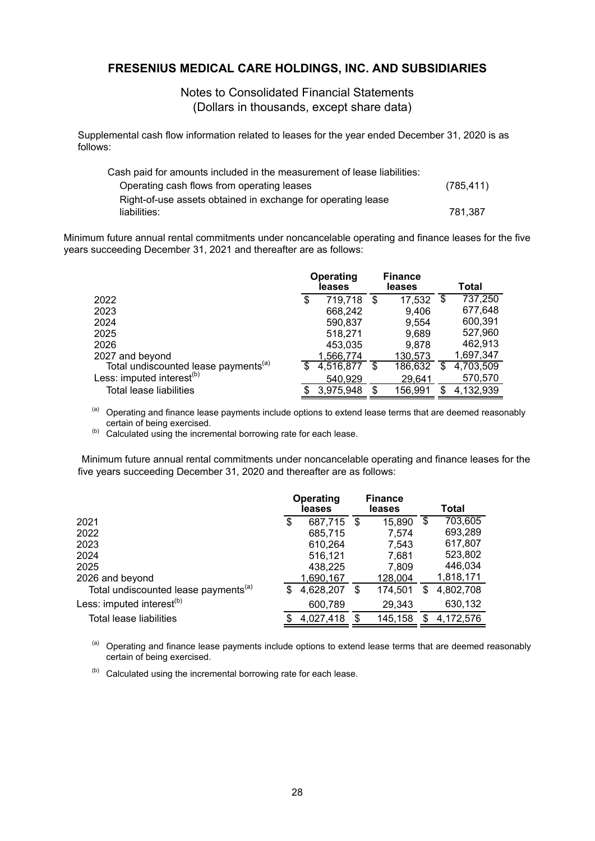Notes to Consolidated Financial Statements (Dollars in thousands, except share data)

Supplemental cash flow information related to leases for the year ended December 31, 2020 is as follows:

| Cash paid for amounts included in the measurement of lease liabilities: |           |
|-------------------------------------------------------------------------|-----------|
| Operating cash flows from operating leases                              | (785,411) |
| Right-of-use assets obtained in exchange for operating lease            |           |
| liabilities:                                                            | 781.387   |

Minimum future annual rental commitments under noncancelable operating and finance leases for the five years succeeding December 31, 2021 and thereafter are as follows:

|                                                  |    | Operating<br>leases |    | <b>Finance</b><br>leases |    | Total     |
|--------------------------------------------------|----|---------------------|----|--------------------------|----|-----------|
| 2022                                             | \$ | 719.718             | \$ | 17,532                   | \$ | 737,250   |
| 2023                                             |    | 668,242             |    | 9,406                    |    | 677,648   |
| 2024                                             |    | 590,837             |    | 9.554                    |    | 600,391   |
| 2025                                             |    | 518.271             |    | 9.689                    |    | 527,960   |
| 2026                                             |    | 453.035             |    | 9.878                    |    | 462,913   |
| 2027 and beyond                                  |    | 1,566,774           |    | 130.573                  |    | 1,697,347 |
| Total undiscounted lease payments <sup>(a)</sup> | S  | 4,516,877           | \$ | 186,632                  | \$ | 4,703,509 |
| Less: imputed interest <sup>(b)</sup>            |    | 540,929             |    | 29,641                   |    | 570,570   |
| Total lease liabilities                          |    | 3,975,948           | S  | 156,991                  | S. | 4,132,939 |

 $(a)$  Operating and finance lease payments include options to extend lease terms that are deemed reasonably certain of being exercised.

(b) Calculated using the incremental borrowing rate for each lease.

Minimum future annual rental commitments under noncancelable operating and finance leases for the five years succeeding December 31, 2020 and thereafter are as follows:

|                                                  |    | <b>Operating</b><br>leases |    | <b>Finance</b><br>leases |    | Total     |
|--------------------------------------------------|----|----------------------------|----|--------------------------|----|-----------|
| 2021                                             | \$ | 687,715                    | S  | 15,890                   | \$ | 703,605   |
| 2022                                             |    | 685,715                    |    | 7.574                    |    | 693,289   |
| 2023                                             |    | 610,264                    |    | 7.543                    |    | 617,807   |
| 2024                                             |    | 516,121                    |    | 7.681                    |    | 523,802   |
| 2025                                             |    | 438.225                    |    | 7.809                    |    | 446,034   |
| 2026 and beyond                                  |    | 1,690,167                  |    | 128,004                  |    | 1,818,171 |
| Total undiscounted lease payments <sup>(a)</sup> | S  | 4,628,207                  | \$ | 174,501                  | \$ | 4,802,708 |
| Less: imputed interest $(b)$                     |    | 600,789                    |    | 29,343                   |    | 630,132   |
| Total lease liabilities                          |    | 4,027,418                  | \$ | 145,158                  | S  | 4,172,576 |

(a) Operating and finance lease payments include options to extend lease terms that are deemed reasonably certain of being exercised.

(b) Calculated using the incremental borrowing rate for each lease.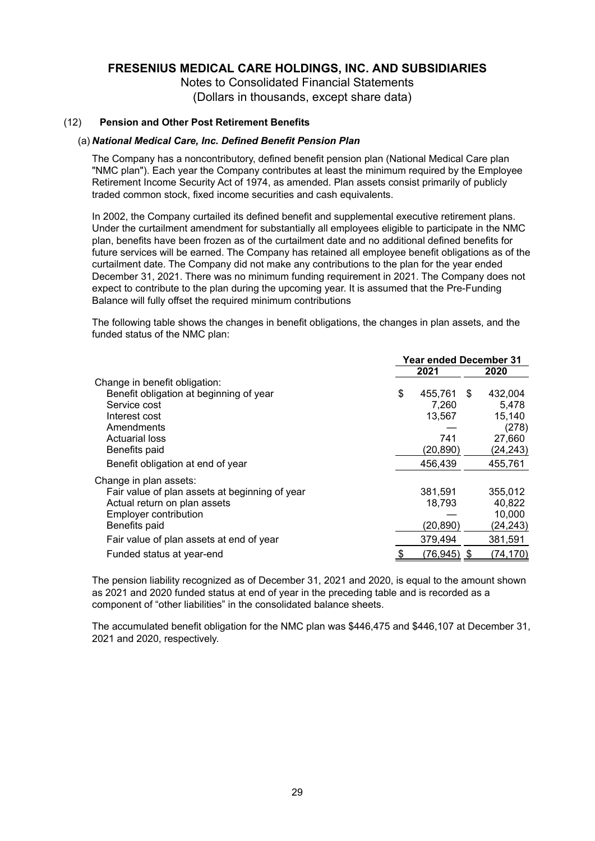Notes to Consolidated Financial Statements (Dollars in thousands, except share data)

#### (12) **Pension and Other Post Retirement Benefits**

#### (a) *National Medical Care, Inc. Defined Benefit Pension Plan*

The Company has a noncontributory, defined benefit pension plan (National Medical Care plan "NMC plan"). Each year the Company contributes at least the minimum required by the Employee Retirement Income Security Act of 1974, as amended. Plan assets consist primarily of publicly traded common stock, fixed income securities and cash equivalents.

In 2002, the Company curtailed its defined benefit and supplemental executive retirement plans. Under the curtailment amendment for substantially all employees eligible to participate in the NMC plan, benefits have been frozen as of the curtailment date and no additional defined benefits for future services will be earned. The Company has retained all employee benefit obligations as of the curtailment date. The Company did not make any contributions to the plan for the year ended December 31, 2021. There was no minimum funding requirement in 2021. The Company does not expect to contribute to the plan during the upcoming year. It is assumed that the Pre-Funding Balance will fully offset the required minimum contributions

The following table shows the changes in benefit obligations, the changes in plan assets, and the funded status of the NMC plan:

|                                                | <b>Year ended December 31</b> |    |           |  |
|------------------------------------------------|-------------------------------|----|-----------|--|
|                                                | 2021                          |    | 2020      |  |
| Change in benefit obligation:                  |                               |    |           |  |
| Benefit obligation at beginning of year        | \$<br>455,761                 | S. | 432,004   |  |
| Service cost                                   | 7,260                         |    | 5,478     |  |
| Interest cost                                  | 13,567                        |    | 15,140    |  |
| Amendments                                     |                               |    | (278)     |  |
| <b>Actuarial loss</b>                          | 741                           |    | 27,660    |  |
| Benefits paid                                  | (20, 890)                     |    | (24,243)  |  |
| Benefit obligation at end of year              | 456,439                       |    | 455,761   |  |
| Change in plan assets:                         |                               |    |           |  |
| Fair value of plan assets at beginning of year | 381,591                       |    | 355,012   |  |
| Actual return on plan assets                   | 18,793                        |    | 40,822    |  |
| <b>Employer contribution</b>                   |                               |    | 10,000    |  |
| Benefits paid                                  | (20,890)                      |    | (24,243)  |  |
| Fair value of plan assets at end of year       | 379.494                       |    | 381,591   |  |
| Funded status at year-end                      | (76, 945)                     | \$ | (74, 170) |  |

The pension liability recognized as of December 31, 2021 and 2020, is equal to the amount shown as 2021 and 2020 funded status at end of year in the preceding table and is recorded as a component of "other liabilities" in the consolidated balance sheets.

The accumulated benefit obligation for the NMC plan was \$446,475 and \$446,107 at December 31, 2021 and 2020, respectively.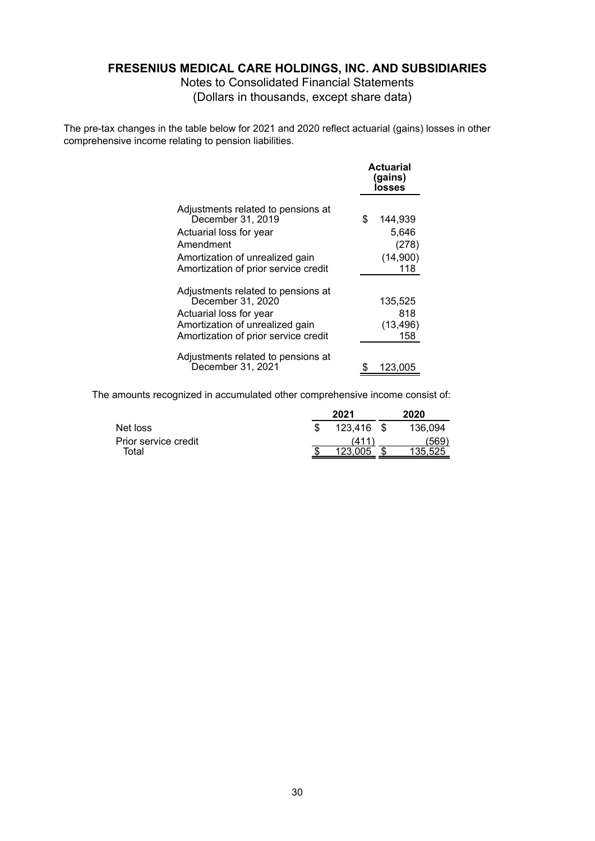Notes to Consolidated Financial Statements (Dollars in thousands, except share data)

The pre-tax changes in the table below for 2021 and 2020 reflect actuarial (gains) losses in other comprehensive income relating to pension liabilities.

|                                                         | Actuarial<br>(gains)<br>losses |           |
|---------------------------------------------------------|--------------------------------|-----------|
| Adjustments related to pensions at<br>December 31, 2019 | \$                             | 144,939   |
| Actuarial loss for year                                 |                                | 5,646     |
| Amendment                                               |                                | (278)     |
| Amortization of unrealized gain                         |                                | (14,900)  |
| Amortization of prior service credit                    |                                | 118       |
| Adjustments related to pensions at<br>December 31, 2020 |                                | 135,525   |
| Actuarial loss for year                                 |                                | 818       |
| Amortization of unrealized gain                         |                                | (13, 496) |
| Amortization of prior service credit                    |                                | 158       |
| Adjustments related to pensions at<br>December 31, 2021 | S                              | 123,005   |

The amounts recognized in accumulated other comprehensive income consist of:

|                      | 2021       | 2020    |
|----------------------|------------|---------|
| Net loss             | 123,416 \$ | 136.094 |
| Prior service credit | .411       | (569)   |
| Total                | 123,005    | 135,525 |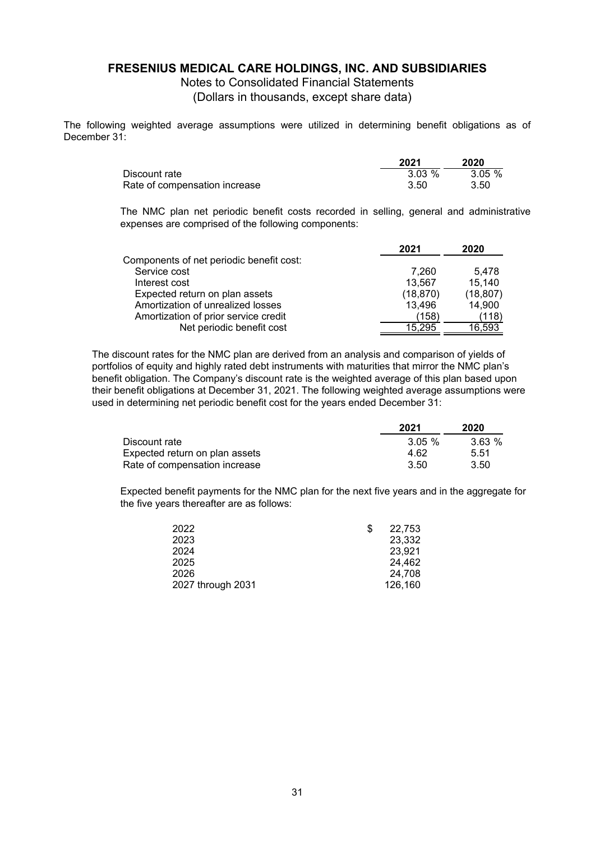Notes to Consolidated Financial Statements

(Dollars in thousands, except share data)

The following weighted average assumptions were utilized in determining benefit obligations as of December 31:

|                               | 2021     | 2020     |
|-------------------------------|----------|----------|
| Discount rate                 | $3.03\%$ | $3.05\%$ |
| Rate of compensation increase | 3.50     | 3.50     |

The NMC plan net periodic benefit costs recorded in selling, general and administrative expenses are comprised of the following components:

|                                          | 2021      | 2020      |
|------------------------------------------|-----------|-----------|
| Components of net periodic benefit cost: |           |           |
| Service cost                             | 7.260     | 5.478     |
| Interest cost                            | 13,567    | 15,140    |
| Expected return on plan assets           | (18, 870) | (18, 807) |
| Amortization of unrealized losses        | 13,496    | 14,900    |
| Amortization of prior service credit     | (158)     | (118)     |
| Net periodic benefit cost                | 15.295    | 16,593    |

The discount rates for the NMC plan are derived from an analysis and comparison of yields of portfolios of equity and highly rated debt instruments with maturities that mirror the NMC plan's benefit obligation. The Company's discount rate is the weighted average of this plan based upon their benefit obligations at December 31, 2021. The following weighted average assumptions were used in determining net periodic benefit cost for the years ended December 31:

|                                | 2021     | 2020      |
|--------------------------------|----------|-----------|
| Discount rate                  | $3.05\%$ | $3.63 \%$ |
| Expected return on plan assets | 4.62     | 5.51      |
| Rate of compensation increase  | 3.50     | 3.50      |

Expected benefit payments for the NMC plan for the next five years and in the aggregate for the five years thereafter are as follows:

| 2022              | S | 22.753  |
|-------------------|---|---------|
| 2023              |   | 23,332  |
| 2024              |   | 23.921  |
| 2025              |   | 24.462  |
| 2026              |   | 24.708  |
| 2027 through 2031 |   | 126,160 |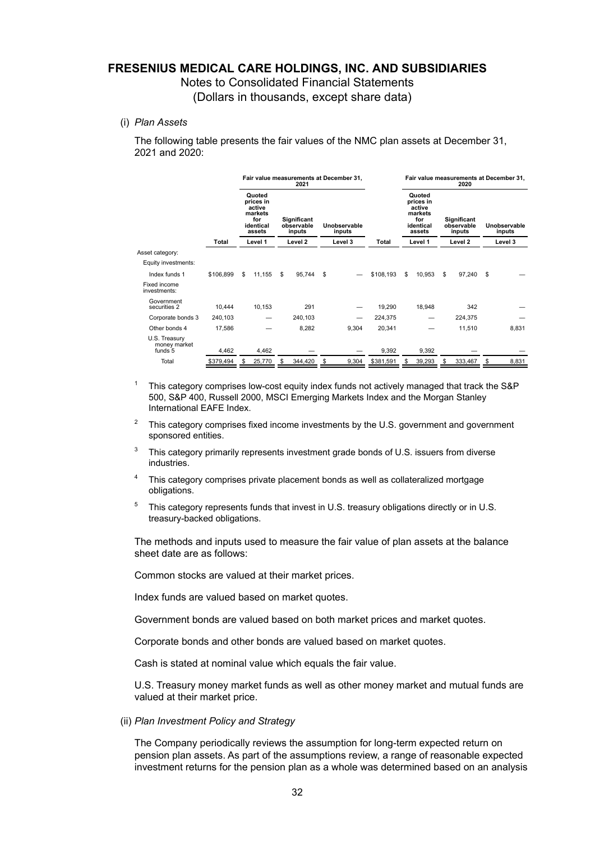Notes to Consolidated Financial Statements

(Dollars in thousands, except share data)

#### (i) *Plan Assets*

The following table presents the fair values of the NMC plan assets at December 31, 2021 and 2020:

|                                          |           |                                                                        | 2021 | Fair value measurements at December 31, |    | Fair value measurements at December 31,<br>2020 |           |                                                                        |    |                                     |    |                        |
|------------------------------------------|-----------|------------------------------------------------------------------------|------|-----------------------------------------|----|-------------------------------------------------|-----------|------------------------------------------------------------------------|----|-------------------------------------|----|------------------------|
|                                          |           | Quoted<br>prices in<br>active<br>markets<br>for<br>identical<br>assets |      | Significant<br>observable<br>inputs     |    | Unobservable<br>inputs                          |           | Quoted<br>prices in<br>active<br>markets<br>for<br>identical<br>assets |    | Significant<br>observable<br>inputs |    | Unobservable<br>inputs |
|                                          | Total     | Level 1                                                                |      | Level 2                                 |    | Level 3                                         | Total     | Level 1                                                                |    | Level 2                             |    | Level 3                |
| Asset category:                          |           |                                                                        |      |                                         |    |                                                 |           |                                                                        |    |                                     |    |                        |
| Equity investments:                      |           |                                                                        |      |                                         |    |                                                 |           |                                                                        |    |                                     |    |                        |
| Index funds 1                            | \$106,899 | \$<br>$11,155$ \$                                                      |      | 95.744 \$                               |    |                                                 | \$108,193 | \$<br>10,953                                                           | \$ | 97.240                              | \$ |                        |
| Fixed income<br>investments:             |           |                                                                        |      |                                         |    |                                                 |           |                                                                        |    |                                     |    |                        |
| Government<br>securities 2               | 10.444    | 10,153                                                                 |      | 291                                     |    |                                                 | 19,290    | 18,948                                                                 |    | 342                                 |    |                        |
| Corporate bonds 3                        | 240,103   |                                                                        |      | 240,103                                 |    |                                                 | 224,375   |                                                                        |    | 224,375                             |    |                        |
| Other bonds 4                            | 17,586    |                                                                        |      | 8,282                                   |    | 9,304                                           | 20,341    |                                                                        |    | 11,510                              |    | 8,831                  |
| U.S. Treasury<br>money market<br>funds 5 | 4,462     | 4,462                                                                  |      |                                         |    |                                                 | 9,392     | 9,392                                                                  |    |                                     |    |                        |
| Total                                    | \$379,494 | 25,770                                                                 | S    | 344,420                                 | \$ | 9,304                                           | \$381,591 | \$<br>39,293                                                           | \$ | 333,467                             | \$ | 8,831                  |

<sup>1</sup> This category comprises low-cost equity index funds not actively managed that track the S&P 500, S&P 400, Russell 2000, MSCI Emerging Markets Index and the Morgan Stanley International EAFE Index.

- <sup>2</sup> This category comprises fixed income investments by the U.S. government and government sponsored entities.
- <sup>3</sup> This category primarily represents investment grade bonds of U.S. issuers from diverse industries.
- <sup>4</sup> This category comprises private placement bonds as well as collateralized mortgage obligations.
- <sup>5</sup> This category represents funds that invest in U.S. treasury obligations directly or in U.S. treasury-backed obligations.

The methods and inputs used to measure the fair value of plan assets at the balance sheet date are as follows:

Common stocks are valued at their market prices.

Index funds are valued based on market quotes.

Government bonds are valued based on both market prices and market quotes.

Corporate bonds and other bonds are valued based on market quotes.

Cash is stated at nominal value which equals the fair value.

U.S. Treasury money market funds as well as other money market and mutual funds are valued at their market price.

(ii) *Plan Investment Policy and Strategy*

The Company periodically reviews the assumption for long-term expected return on pension plan assets. As part of the assumptions review, a range of reasonable expected investment returns for the pension plan as a whole was determined based on an analysis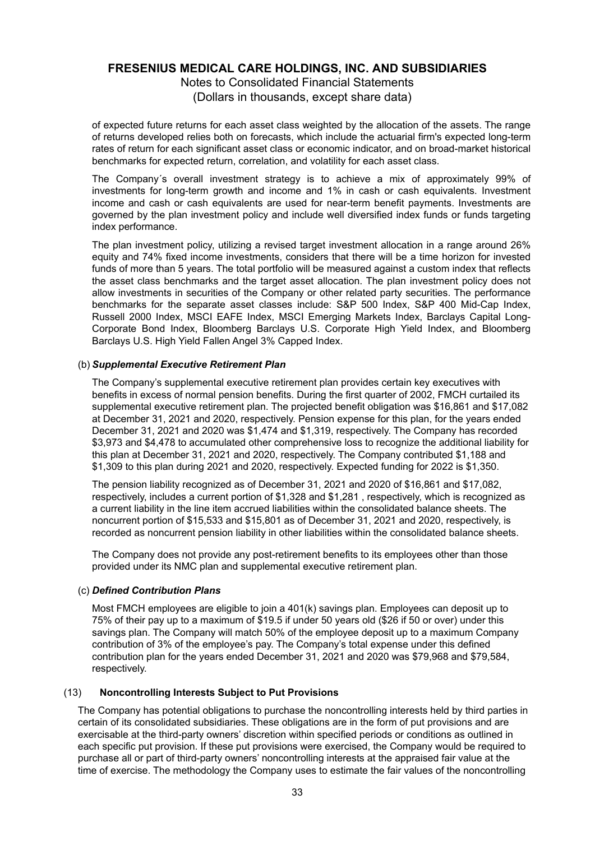Notes to Consolidated Financial Statements (Dollars in thousands, except share data)

of expected future returns for each asset class weighted by the allocation of the assets. The range of returns developed relies both on forecasts, which include the actuarial firm's expected long-term rates of return for each significant asset class or economic indicator, and on broad-market historical benchmarks for expected return, correlation, and volatility for each asset class.

The Company´s overall investment strategy is to achieve a mix of approximately 99% of investments for long-term growth and income and 1% in cash or cash equivalents. Investment income and cash or cash equivalents are used for near-term benefit payments. Investments are governed by the plan investment policy and include well diversified index funds or funds targeting index performance.

The plan investment policy, utilizing a revised target investment allocation in a range around 26% equity and 74% fixed income investments, considers that there will be a time horizon for invested funds of more than 5 years. The total portfolio will be measured against a custom index that reflects the asset class benchmarks and the target asset allocation. The plan investment policy does not allow investments in securities of the Company or other related party securities. The performance benchmarks for the separate asset classes include: S&P 500 Index, S&P 400 Mid-Cap Index, Russell 2000 Index, MSCI EAFE Index, MSCI Emerging Markets Index, Barclays Capital Long-Corporate Bond Index, Bloomberg Barclays U.S. Corporate High Yield Index, and Bloomberg Barclays U.S. High Yield Fallen Angel 3% Capped Index.

### (b) *Supplemental Executive Retirement Plan*

The Company's supplemental executive retirement plan provides certain key executives with benefits in excess of normal pension benefits. During the first quarter of 2002, FMCH curtailed its supplemental executive retirement plan. The projected benefit obligation was \$16,861 and \$17,082 at December 31, 2021 and 2020, respectively. Pension expense for this plan, for the years ended December 31, 2021 and 2020 was \$1,474 and \$1,319, respectively. The Company has recorded \$3,973 and \$4,478 to accumulated other comprehensive loss to recognize the additional liability for this plan at December 31, 2021 and 2020, respectively. The Company contributed \$1,188 and \$1,309 to this plan during 2021 and 2020, respectively. Expected funding for 2022 is \$1,350.

The pension liability recognized as of December 31, 2021 and 2020 of \$16,861 and \$17,082, respectively, includes a current portion of \$1,328 and \$1,281 , respectively, which is recognized as a current liability in the line item accrued liabilities within the consolidated balance sheets. The noncurrent portion of \$15,533 and \$15,801 as of December 31, 2021 and 2020, respectively, is recorded as noncurrent pension liability in other liabilities within the consolidated balance sheets.

The Company does not provide any post-retirement benefits to its employees other than those provided under its NMC plan and supplemental executive retirement plan.

### (c) *Defined Contribution Plans*

Most FMCH employees are eligible to join a 401(k) savings plan. Employees can deposit up to 75% of their pay up to a maximum of \$19.5 if under 50 years old (\$26 if 50 or over) under this savings plan. The Company will match 50% of the employee deposit up to a maximum Company contribution of 3% of the employee's pay. The Company's total expense under this defined contribution plan for the years ended December 31, 2021 and 2020 was \$79,968 and \$79,584, respectively.

### (13) **Noncontrolling Interests Subject to Put Provisions**

The Company has potential obligations to purchase the noncontrolling interests held by third parties in certain of its consolidated subsidiaries. These obligations are in the form of put provisions and are exercisable at the third-party owners' discretion within specified periods or conditions as outlined in each specific put provision. If these put provisions were exercised, the Company would be required to purchase all or part of third-party owners' noncontrolling interests at the appraised fair value at the time of exercise. The methodology the Company uses to estimate the fair values of the noncontrolling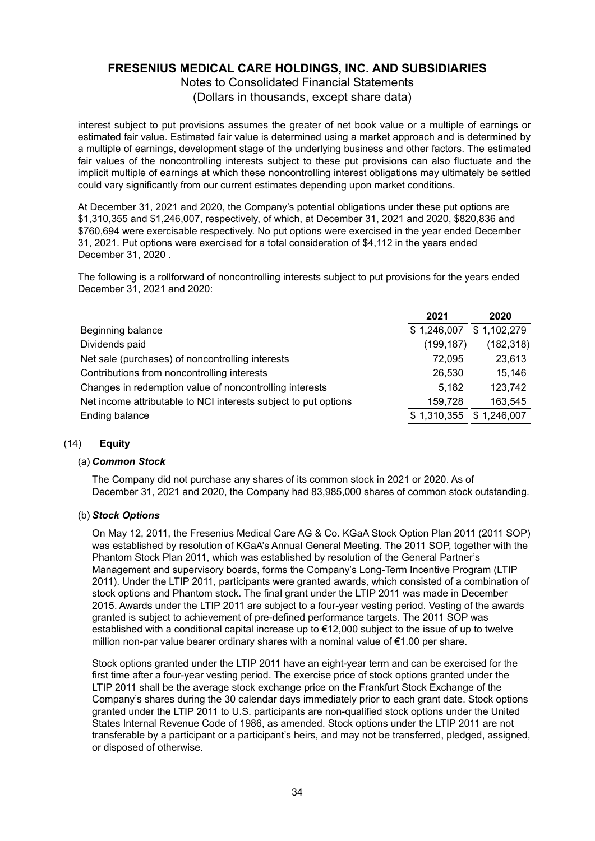Notes to Consolidated Financial Statements (Dollars in thousands, except share data)

interest subject to put provisions assumes the greater of net book value or a multiple of earnings or estimated fair value. Estimated fair value is determined using a market approach and is determined by a multiple of earnings, development stage of the underlying business and other factors. The estimated fair values of the noncontrolling interests subject to these put provisions can also fluctuate and the implicit multiple of earnings at which these noncontrolling interest obligations may ultimately be settled could vary significantly from our current estimates depending upon market conditions.

At December 31, 2021 and 2020, the Company's potential obligations under these put options are \$1,310,355 and \$1,246,007, respectively, of which, at December 31, 2021 and 2020, \$820,836 and \$760,694 were exercisable respectively. No put options were exercised in the year ended December 31, 2021. Put options were exercised for a total consideration of \$4,112 in the years ended December 31, 2020 .

The following is a rollforward of noncontrolling interests subject to put provisions for the years ended December 31, 2021 and 2020:

|                                                                 | 2021        | 2020        |
|-----------------------------------------------------------------|-------------|-------------|
| Beginning balance                                               | \$1,246,007 | \$1,102,279 |
| Dividends paid                                                  | (199, 187)  | (182, 318)  |
| Net sale (purchases) of noncontrolling interests                | 72.095      | 23,613      |
| Contributions from noncontrolling interests                     | 26,530      | 15,146      |
| Changes in redemption value of noncontrolling interests         | 5.182       | 123,742     |
| Net income attributable to NCI interests subject to put options | 159,728     | 163,545     |
| Ending balance                                                  | \$1,310,355 | \$1,246,007 |

### (14) **Equity**

### (a) *Common Stock*

The Company did not purchase any shares of its common stock in 2021 or 2020. As of December 31, 2021 and 2020, the Company had 83,985,000 shares of common stock outstanding.

### (b) *Stock Options*

On May 12, 2011, the Fresenius Medical Care AG & Co. KGaA Stock Option Plan 2011 (2011 SOP) was established by resolution of KGaA's Annual General Meeting. The 2011 SOP, together with the Phantom Stock Plan 2011, which was established by resolution of the General Partner's Management and supervisory boards, forms the Company's Long-Term Incentive Program (LTIP 2011). Under the LTIP 2011, participants were granted awards, which consisted of a combination of stock options and Phantom stock. The final grant under the LTIP 2011 was made in December 2015. Awards under the LTIP 2011 are subject to a four-year vesting period. Vesting of the awards granted is subject to achievement of pre-defined performance targets. The 2011 SOP was established with a conditional capital increase up to €12,000 subject to the issue of up to twelve million non-par value bearer ordinary shares with a nominal value of  $\epsilon$ 1.00 per share.

Stock options granted under the LTIP 2011 have an eight-year term and can be exercised for the first time after a four-year vesting period. The exercise price of stock options granted under the LTIP 2011 shall be the average stock exchange price on the Frankfurt Stock Exchange of the Company's shares during the 30 calendar days immediately prior to each grant date. Stock options granted under the LTIP 2011 to U.S. participants are non-qualified stock options under the United States Internal Revenue Code of 1986, as amended. Stock options under the LTIP 2011 are not transferable by a participant or a participant's heirs, and may not be transferred, pledged, assigned, or disposed of otherwise.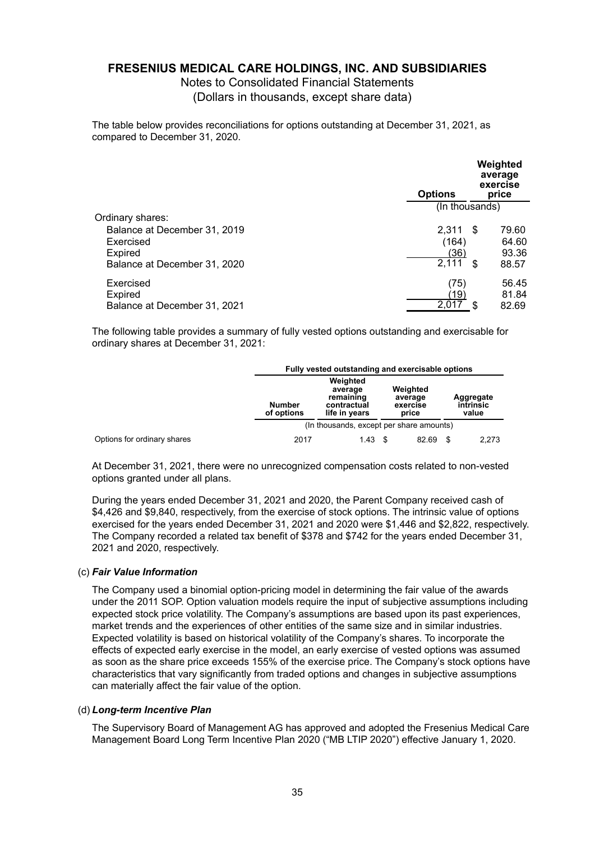Notes to Consolidated Financial Statements (Dollars in thousands, except share data)

The table below provides reconciliations for options outstanding at December 31, 2021, as compared to December 31, 2020.

|                              | <b>Options</b> | Weighted<br>average<br>exercise<br>price |
|------------------------------|----------------|------------------------------------------|
|                              | (In thousands) |                                          |
| Ordinary shares:             |                |                                          |
| Balance at December 31, 2019 | $2,311$ \$     | 79.60                                    |
| Exercised                    | (164)          | 64.60                                    |
| Expired                      | (36)           | 93.36                                    |
| Balance at December 31, 2020 | 2,111          | S<br>88.57                               |
| Exercised                    | (75)           | 56.45                                    |
| <b>Expired</b>               | (19)           | 81.84                                    |
| Balance at December 31, 2021 |                | 82.69                                    |

The following table provides a summary of fully vested options outstanding and exercisable for ordinary shares at December 31, 2021:

|                             | Fully vested outstanding and exercisable options |                                                                  |                                          |   |                                 |  |  |  |
|-----------------------------|--------------------------------------------------|------------------------------------------------------------------|------------------------------------------|---|---------------------------------|--|--|--|
|                             | <b>Number</b><br>of options                      | Weighted<br>average<br>remaining<br>contractual<br>life in years | Weighted<br>average<br>exercise<br>price |   | Aggregate<br>intrinsic<br>value |  |  |  |
|                             | (In thousands, except per share amounts)         |                                                                  |                                          |   |                                 |  |  |  |
| Options for ordinary shares | 2017                                             | $1.43 \quad$ \$                                                  | 82.69                                    | S | 2,273                           |  |  |  |

At December 31, 2021, there were no unrecognized compensation costs related to non-vested options granted under all plans.

During the years ended December 31, 2021 and 2020, the Parent Company received cash of \$4,426 and \$9,840, respectively, from the exercise of stock options. The intrinsic value of options exercised for the years ended December 31, 2021 and 2020 were \$1,446 and \$2,822, respectively. The Company recorded a related tax benefit of \$378 and \$742 for the years ended December 31, 2021 and 2020, respectively.

### (c) *Fair Value Information*

The Company used a binomial option-pricing model in determining the fair value of the awards under the 2011 SOP. Option valuation models require the input of subjective assumptions including expected stock price volatility. The Company's assumptions are based upon its past experiences, market trends and the experiences of other entities of the same size and in similar industries. Expected volatility is based on historical volatility of the Company's shares. To incorporate the effects of expected early exercise in the model, an early exercise of vested options was assumed as soon as the share price exceeds 155% of the exercise price. The Company's stock options have characteristics that vary significantly from traded options and changes in subjective assumptions can materially affect the fair value of the option.

### (d) *Long-term Incentive Plan*

The Supervisory Board of Management AG has approved and adopted the Fresenius Medical Care Management Board Long Term Incentive Plan 2020 ("MB LTIP 2020") effective January 1, 2020.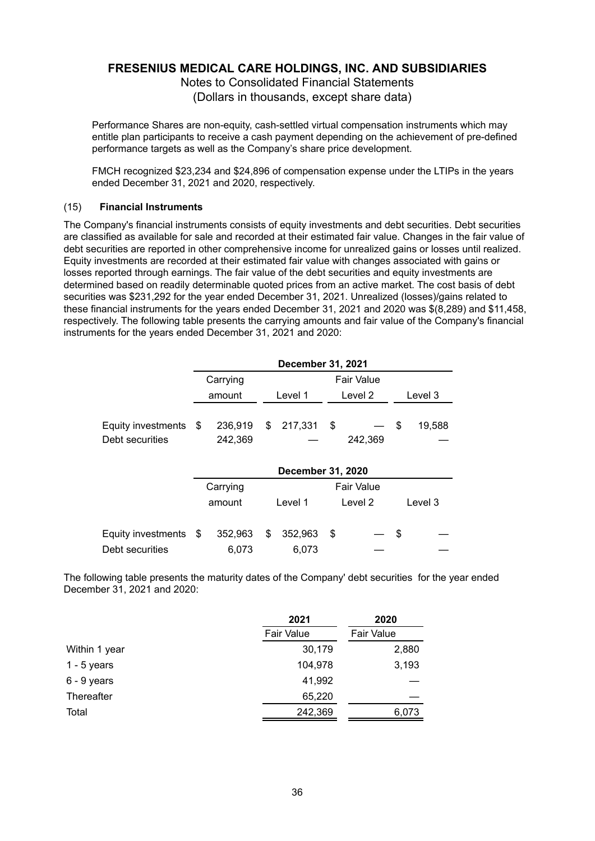Notes to Consolidated Financial Statements (Dollars in thousands, except share data)

Performance Shares are non-equity, cash-settled virtual compensation instruments which may entitle plan participants to receive a cash payment depending on the achievement of pre-defined performance targets as well as the Company's share price development.

FMCH recognized \$23,234 and \$24,896 of compensation expense under the LTIPs in the years ended December 31, 2021 and 2020, respectively.

### (15) **Financial Instruments**

The Company's financial instruments consists of equity investments and debt securities. Debt securities are classified as available for sale and recorded at their estimated fair value. Changes in the fair value of debt securities are reported in other comprehensive income for unrealized gains or losses until realized. Equity investments are recorded at their estimated fair value with changes associated with gains or losses reported through earnings. The fair value of the debt securities and equity investments are determined based on readily determinable quoted prices from an active market. The cost basis of debt securities was \$231,292 for the year ended December 31, 2021. Unrealized (losses)/gains related to these financial instruments for the years ended December 31, 2021 and 2020 was \$(8,289) and \$11,458, respectively. The following table presents the carrying amounts and fair value of the Company's financial instruments for the years ended December 31, 2021 and 2020:

|                       |        | <b>December 31, 2021</b> |                          |         |         |         |         |         |  |  |  |
|-----------------------|--------|--------------------------|--------------------------|---------|---------|---------|---------|---------|--|--|--|
|                       |        | Carrying                 | Fair Value               |         |         |         |         |         |  |  |  |
|                       |        | amount                   |                          | Level 1 |         | Level 2 |         | Level 3 |  |  |  |
| Equity investments \$ |        | 236,919                  | \$                       | 217,331 | \$      |         | \$      | 19,588  |  |  |  |
| Debt securities       |        | 242,369                  |                          |         |         | 242,369 |         |         |  |  |  |
|                       |        |                          | <b>December 31, 2020</b> |         |         |         |         |         |  |  |  |
|                       |        | Carrying                 |                          |         |         |         |         |         |  |  |  |
|                       | amount |                          | Level 1                  |         | Level 2 |         | Level 3 |         |  |  |  |
| Equity investments    | - \$   | 352,963                  | \$                       | 352,963 | \$      |         | \$      |         |  |  |  |
| Debt securities       |        | 6,073                    |                          | 6,073   |         |         |         |         |  |  |  |

The following table presents the maturity dates of the Company' debt securities for the year ended December 31, 2021 and 2020:

|               | 2021              | 2020              |
|---------------|-------------------|-------------------|
|               | <b>Fair Value</b> | <b>Fair Value</b> |
| Within 1 year | 30,179            | 2,880             |
| 1 - 5 years   | 104,978           | 3,193             |
| 6 - 9 years   | 41,992            |                   |
| Thereafter    | 65,220            |                   |
| Total         | 242,369           | 6,073             |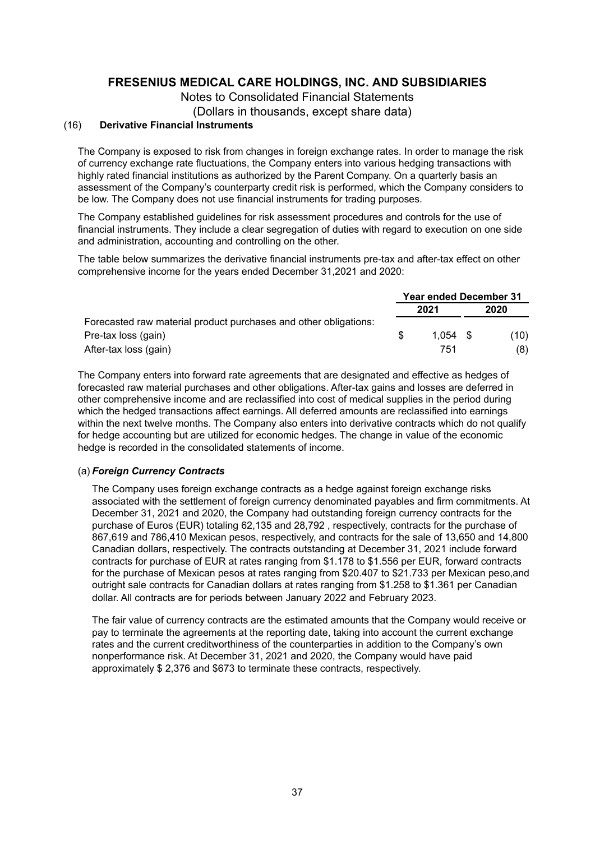Notes to Consolidated Financial Statements

(Dollars in thousands, except share data)

### (16) **Derivative Financial Instruments**

The Company is exposed to risk from changes in foreign exchange rates. In order to manage the risk of currency exchange rate fluctuations, the Company enters into various hedging transactions with highly rated financial institutions as authorized by the Parent Company. On a quarterly basis an assessment of the Company's counterparty credit risk is performed, which the Company considers to be low. The Company does not use financial instruments for trading purposes.

The Company established guidelines for risk assessment procedures and controls for the use of financial instruments. They include a clear segregation of duties with regard to execution on one side and administration, accounting and controlling on the other.

The table below summarizes the derivative financial instruments pre-tax and after-tax effect on other comprehensive income for the years ended December 31,2021 and 2020:

|                                                                  | <b>Year ended December 31</b> |  |      |  |  |  |
|------------------------------------------------------------------|-------------------------------|--|------|--|--|--|
|                                                                  | 2021                          |  | 2020 |  |  |  |
| Forecasted raw material product purchases and other obligations: |                               |  |      |  |  |  |
| Pre-tax loss (gain)                                              | $1.054$ \$                    |  | (10) |  |  |  |
| After-tax loss (gain)                                            | 751                           |  | (8)  |  |  |  |

The Company enters into forward rate agreements that are designated and effective as hedges of forecasted raw material purchases and other obligations. After-tax gains and losses are deferred in other comprehensive income and are reclassified into cost of medical supplies in the period during which the hedged transactions affect earnings. All deferred amounts are reclassified into earnings within the next twelve months. The Company also enters into derivative contracts which do not qualify for hedge accounting but are utilized for economic hedges. The change in value of the economic hedge is recorded in the consolidated statements of income.

### (a) *Foreign Currency Contracts*

The Company uses foreign exchange contracts as a hedge against foreign exchange risks associated with the settlement of foreign currency denominated payables and firm commitments. At December 31, 2021 and 2020, the Company had outstanding foreign currency contracts for the purchase of Euros (EUR) totaling 62,135 and 28,792 , respectively, contracts for the purchase of 867,619 and 786,410 Mexican pesos, respectively, and contracts for the sale of 13,650 and 14,800 Canadian dollars, respectively. The contracts outstanding at December 31, 2021 include forward contracts for purchase of EUR at rates ranging from \$1.178 to \$1.556 per EUR, forward contracts for the purchase of Mexican pesos at rates ranging from \$20.407 to \$21.733 per Mexican peso,and outright sale contracts for Canadian dollars at rates ranging from \$1.258 to \$1.361 per Canadian dollar. All contracts are for periods between January 2022 and February 2023.

The fair value of currency contracts are the estimated amounts that the Company would receive or pay to terminate the agreements at the reporting date, taking into account the current exchange rates and the current creditworthiness of the counterparties in addition to the Company's own nonperformance risk. At December 31, 2021 and 2020, the Company would have paid approximately \$ 2,376 and \$673 to terminate these contracts, respectively.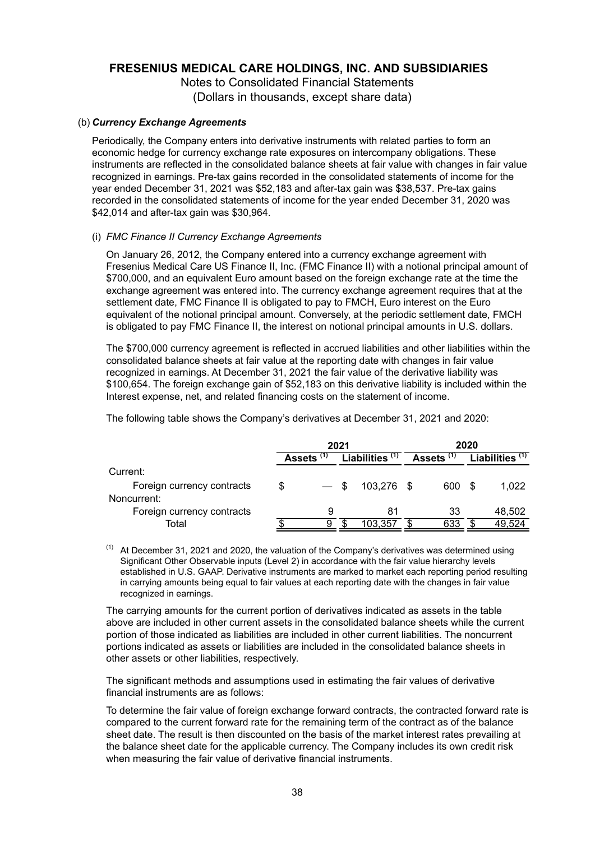Notes to Consolidated Financial Statements (Dollars in thousands, except share data)

#### (b) *Currency Exchange Agreements*

Periodically, the Company enters into derivative instruments with related parties to form an economic hedge for currency exchange rate exposures on intercompany obligations. These instruments are reflected in the consolidated balance sheets at fair value with changes in fair value recognized in earnings. Pre-tax gains recorded in the consolidated statements of income for the year ended December 31, 2021 was \$52,183 and after-tax gain was \$38,537. Pre-tax gains recorded in the consolidated statements of income for the year ended December 31, 2020 was \$42,014 and after-tax gain was \$30,964.

#### (i) *FMC Finance II Currency Exchange Agreements*

On January 26, 2012, the Company entered into a currency exchange agreement with Fresenius Medical Care US Finance II, Inc. (FMC Finance II) with a notional principal amount of \$700,000, and an equivalent Euro amount based on the foreign exchange rate at the time the exchange agreement was entered into. The currency exchange agreement requires that at the settlement date, FMC Finance II is obligated to pay to FMCH, Euro interest on the Euro equivalent of the notional principal amount. Conversely, at the periodic settlement date, FMCH is obligated to pay FMC Finance II, the interest on notional principal amounts in U.S. dollars.

The \$700,000 currency agreement is reflected in accrued liabilities and other liabilities within the consolidated balance sheets at fair value at the reporting date with changes in fair value recognized in earnings. At December 31, 2021 the fair value of the derivative liability was \$100,654. The foreign exchange gain of \$52,183 on this derivative liability is included within the Interest expense, net, and related financing costs on the statement of income.

**2021 2020 Assets (1) Liabilities (1) Assets (1) Liabilities (1)** Current: Foreign currency contracts \$ — \$ 103,276 \$ 600 \$ 1,022 Noncurrent: Foreign currency contracts  $9$  81 33 48,502 Total <u>\$ 9 \$ 103,357 \$ 633 \$ 49,524</u>

The following table shows the Company's derivatives at December 31, 2021 and 2020:

 $<sup>(1)</sup>$  At December 31, 2021 and 2020, the valuation of the Company's derivatives was determined using</sup> Significant Other Observable inputs (Level 2) in accordance with the fair value hierarchy levels established in U.S. GAAP. Derivative instruments are marked to market each reporting period resulting in carrying amounts being equal to fair values at each reporting date with the changes in fair value recognized in earnings.

The carrying amounts for the current portion of derivatives indicated as assets in the table above are included in other current assets in the consolidated balance sheets while the current portion of those indicated as liabilities are included in other current liabilities. The noncurrent portions indicated as assets or liabilities are included in the consolidated balance sheets in other assets or other liabilities, respectively.

The significant methods and assumptions used in estimating the fair values of derivative financial instruments are as follows:

To determine the fair value of foreign exchange forward contracts, the contracted forward rate is compared to the current forward rate for the remaining term of the contract as of the balance sheet date. The result is then discounted on the basis of the market interest rates prevailing at the balance sheet date for the applicable currency. The Company includes its own credit risk when measuring the fair value of derivative financial instruments.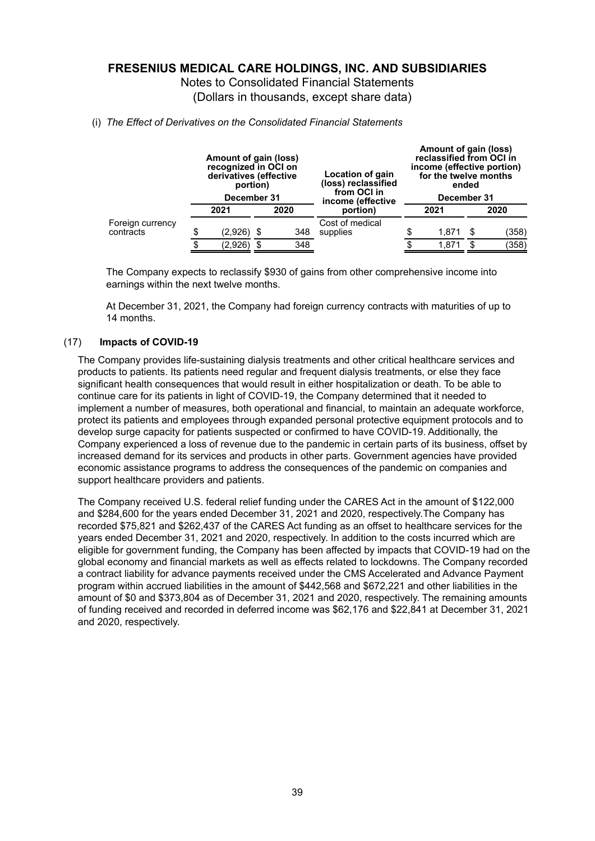Notes to Consolidated Financial Statements

(Dollars in thousands, except share data)

|                               |   | Amount of gain (loss)<br>recognized in OCI on<br>derivatives (effective<br>portion)<br>December 31 |      | Location of gain<br>(loss) reclassified<br>from OCI in<br>income (effective | <b>Amount of gain (loss)</b><br>reclassified from OCI in<br>income (effective portion)<br>for the twelve months<br>ended<br>December 31 |       |  |       |  |
|-------------------------------|---|----------------------------------------------------------------------------------------------------|------|-----------------------------------------------------------------------------|-----------------------------------------------------------------------------------------------------------------------------------------|-------|--|-------|--|
|                               |   | 2021                                                                                               | 2020 | portion)                                                                    |                                                                                                                                         | 2021  |  | 2020  |  |
| Foreign currency<br>contracts | S | (2,926)                                                                                            | 348  | Cost of medical<br>supplies                                                 |                                                                                                                                         | 1.871 |  | (358) |  |
|                               |   | (2,926)                                                                                            | 348  |                                                                             |                                                                                                                                         | 1.87  |  | (358) |  |

(i) *The Effect of Derivatives on the Consolidated Financial Statements*

The Company expects to reclassify \$930 of gains from other comprehensive income into earnings within the next twelve months.

At December 31, 2021, the Company had foreign currency contracts with maturities of up to 14 months.

### (17) **Impacts of COVID-19**

The Company provides life-sustaining dialysis treatments and other critical healthcare services and products to patients. Its patients need regular and frequent dialysis treatments, or else they face significant health consequences that would result in either hospitalization or death. To be able to continue care for its patients in light of COVID-19, the Company determined that it needed to implement a number of measures, both operational and financial, to maintain an adequate workforce, protect its patients and employees through expanded personal protective equipment protocols and to develop surge capacity for patients suspected or confirmed to have COVID-19. Additionally, the Company experienced a loss of revenue due to the pandemic in certain parts of its business, offset by increased demand for its services and products in other parts. Government agencies have provided economic assistance programs to address the consequences of the pandemic on companies and support healthcare providers and patients.

The Company received U.S. federal relief funding under the CARES Act in the amount of \$122,000 and \$284,600 for the years ended December 31, 2021 and 2020, respectively.The Company has recorded \$75,821 and \$262,437 of the CARES Act funding as an offset to healthcare services for the years ended December 31, 2021 and 2020, respectively. In addition to the costs incurred which are eligible for government funding, the Company has been affected by impacts that COVID-19 had on the global economy and financial markets as well as effects related to lockdowns. The Company recorded a contract liability for advance payments received under the CMS Accelerated and Advance Payment program within accrued liabilities in the amount of \$442,568 and \$672,221 and other liabilities in the amount of \$0 and \$373,804 as of December 31, 2021 and 2020, respectively. The remaining amounts of funding received and recorded in deferred income was \$62,176 and \$22,841 at December 31, 2021 and 2020, respectively.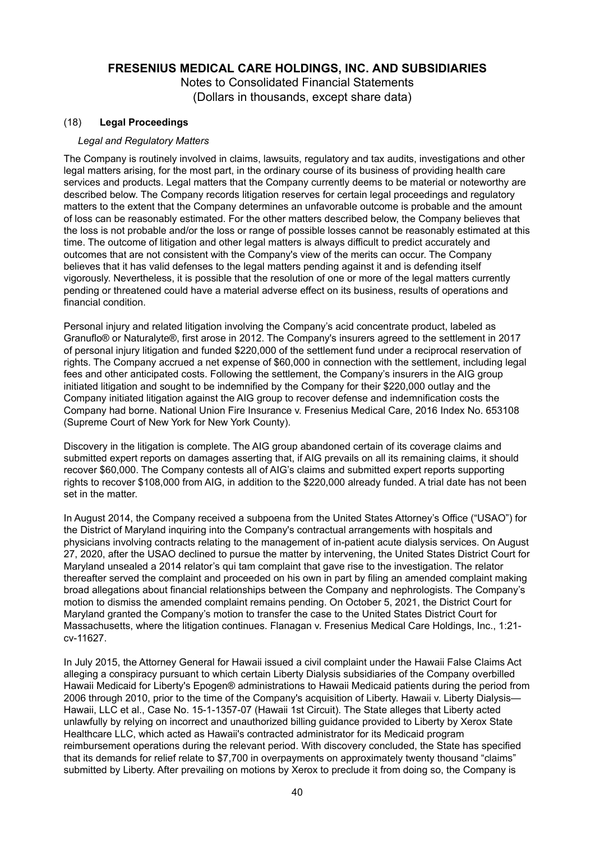Notes to Consolidated Financial Statements (Dollars in thousands, except share data)

### (18) **Legal Proceedings**

#### *Legal and Regulatory Matters*

The Company is routinely involved in claims, lawsuits, regulatory and tax audits, investigations and other legal matters arising, for the most part, in the ordinary course of its business of providing health care services and products. Legal matters that the Company currently deems to be material or noteworthy are described below. The Company records litigation reserves for certain legal proceedings and regulatory matters to the extent that the Company determines an unfavorable outcome is probable and the amount of loss can be reasonably estimated. For the other matters described below, the Company believes that the loss is not probable and/or the loss or range of possible losses cannot be reasonably estimated at this time. The outcome of litigation and other legal matters is always difficult to predict accurately and outcomes that are not consistent with the Company's view of the merits can occur. The Company believes that it has valid defenses to the legal matters pending against it and is defending itself vigorously. Nevertheless, it is possible that the resolution of one or more of the legal matters currently pending or threatened could have a material adverse effect on its business, results of operations and financial condition.

Personal injury and related litigation involving the Company's acid concentrate product, labeled as Granuflo® or Naturalyte®, first arose in 2012. The Company's insurers agreed to the settlement in 2017 of personal injury litigation and funded \$220,000 of the settlement fund under a reciprocal reservation of rights. The Company accrued a net expense of \$60,000 in connection with the settlement, including legal fees and other anticipated costs. Following the settlement, the Company's insurers in the AIG group initiated litigation and sought to be indemnified by the Company for their \$220,000 outlay and the Company initiated litigation against the AIG group to recover defense and indemnification costs the Company had borne. National Union Fire Insurance v. Fresenius Medical Care, 2016 Index No. 653108 (Supreme Court of New York for New York County).

Discovery in the litigation is complete. The AIG group abandoned certain of its coverage claims and submitted expert reports on damages asserting that, if AIG prevails on all its remaining claims, it should recover \$60,000. The Company contests all of AIG's claims and submitted expert reports supporting rights to recover \$108,000 from AIG, in addition to the \$220,000 already funded. A trial date has not been set in the matter.

In August 2014, the Company received a subpoena from the United States Attorney's Office ("USAO") for the District of Maryland inquiring into the Company's contractual arrangements with hospitals and physicians involving contracts relating to the management of in-patient acute dialysis services. On August 27, 2020, after the USAO declined to pursue the matter by intervening, the United States District Court for Maryland unsealed a 2014 relator's qui tam complaint that gave rise to the investigation. The relator thereafter served the complaint and proceeded on his own in part by filing an amended complaint making broad allegations about financial relationships between the Company and nephrologists. The Company's motion to dismiss the amended complaint remains pending. On October 5, 2021, the District Court for Maryland granted the Company's motion to transfer the case to the United States District Court for Massachusetts, where the litigation continues. Flanagan v. Fresenius Medical Care Holdings, Inc., 1:21 cv-11627.

In July 2015, the Attorney General for Hawaii issued a civil complaint under the Hawaii False Claims Act alleging a conspiracy pursuant to which certain Liberty Dialysis subsidiaries of the Company overbilled Hawaii Medicaid for Liberty's Epogen® administrations to Hawaii Medicaid patients during the period from 2006 through 2010, prior to the time of the Company's acquisition of Liberty. Hawaii v. Liberty Dialysis— Hawaii, LLC et al., Case No. 15-1-1357-07 (Hawaii 1st Circuit). The State alleges that Liberty acted unlawfully by relying on incorrect and unauthorized billing guidance provided to Liberty by Xerox State Healthcare LLC, which acted as Hawaii's contracted administrator for its Medicaid program reimbursement operations during the relevant period. With discovery concluded, the State has specified that its demands for relief relate to \$7,700 in overpayments on approximately twenty thousand "claims" submitted by Liberty. After prevailing on motions by Xerox to preclude it from doing so, the Company is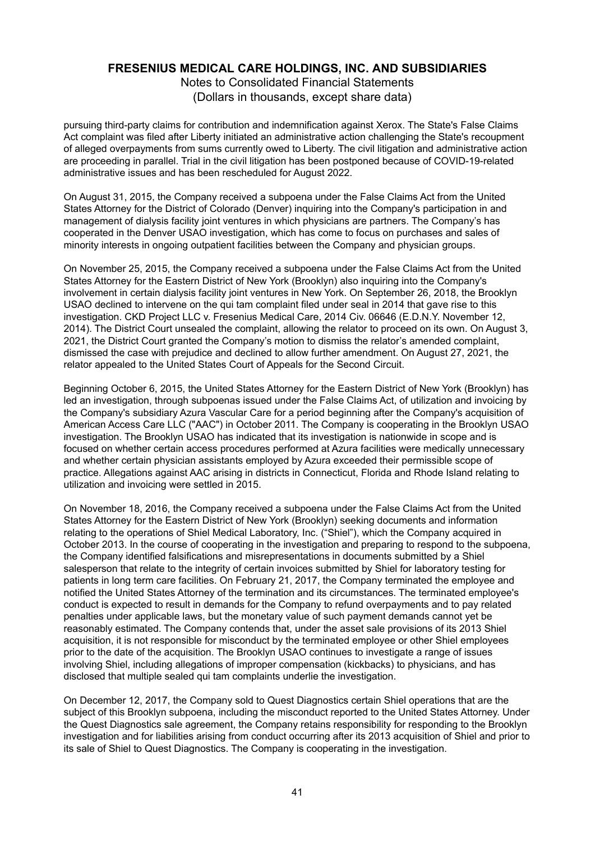Notes to Consolidated Financial Statements (Dollars in thousands, except share data)

pursuing third-party claims for contribution and indemnification against Xerox. The State's False Claims Act complaint was filed after Liberty initiated an administrative action challenging the State's recoupment of alleged overpayments from sums currently owed to Liberty. The civil litigation and administrative action are proceeding in parallel. Trial in the civil litigation has been postponed because of COVID-19-related administrative issues and has been rescheduled for August 2022.

On August 31, 2015, the Company received a subpoena under the False Claims Act from the United States Attorney for the District of Colorado (Denver) inquiring into the Company's participation in and management of dialysis facility joint ventures in which physicians are partners. The Company's has cooperated in the Denver USAO investigation, which has come to focus on purchases and sales of minority interests in ongoing outpatient facilities between the Company and physician groups.

On November 25, 2015, the Company received a subpoena under the False Claims Act from the United States Attorney for the Eastern District of New York (Brooklyn) also inquiring into the Company's involvement in certain dialysis facility joint ventures in New York. On September 26, 2018, the Brooklyn USAO declined to intervene on the qui tam complaint filed under seal in 2014 that gave rise to this investigation. CKD Project LLC v. Fresenius Medical Care, 2014 Civ. 06646 (E.D.N.Y. November 12, 2014). The District Court unsealed the complaint, allowing the relator to proceed on its own. On August 3, 2021, the District Court granted the Company's motion to dismiss the relator's amended complaint, dismissed the case with prejudice and declined to allow further amendment. On August 27, 2021, the relator appealed to the United States Court of Appeals for the Second Circuit.

Beginning October 6, 2015, the United States Attorney for the Eastern District of New York (Brooklyn) has led an investigation, through subpoenas issued under the False Claims Act, of utilization and invoicing by the Company's subsidiary Azura Vascular Care for a period beginning after the Company's acquisition of American Access Care LLC ("AAC") in October 2011. The Company is cooperating in the Brooklyn USAO investigation. The Brooklyn USAO has indicated that its investigation is nationwide in scope and is focused on whether certain access procedures performed at Azura facilities were medically unnecessary and whether certain physician assistants employed by Azura exceeded their permissible scope of practice. Allegations against AAC arising in districts in Connecticut, Florida and Rhode Island relating to utilization and invoicing were settled in 2015.

On November 18, 2016, the Company received a subpoena under the False Claims Act from the United States Attorney for the Eastern District of New York (Brooklyn) seeking documents and information relating to the operations of Shiel Medical Laboratory, Inc. ("Shiel"), which the Company acquired in October 2013. In the course of cooperating in the investigation and preparing to respond to the subpoena, the Company identified falsifications and misrepresentations in documents submitted by a Shiel salesperson that relate to the integrity of certain invoices submitted by Shiel for laboratory testing for patients in long term care facilities. On February 21, 2017, the Company terminated the employee and notified the United States Attorney of the termination and its circumstances. The terminated employee's conduct is expected to result in demands for the Company to refund overpayments and to pay related penalties under applicable laws, but the monetary value of such payment demands cannot yet be reasonably estimated. The Company contends that, under the asset sale provisions of its 2013 Shiel acquisition, it is not responsible for misconduct by the terminated employee or other Shiel employees prior to the date of the acquisition. The Brooklyn USAO continues to investigate a range of issues involving Shiel, including allegations of improper compensation (kickbacks) to physicians, and has disclosed that multiple sealed qui tam complaints underlie the investigation.

On December 12, 2017, the Company sold to Quest Diagnostics certain Shiel operations that are the subject of this Brooklyn subpoena, including the misconduct reported to the United States Attorney. Under the Quest Diagnostics sale agreement, the Company retains responsibility for responding to the Brooklyn investigation and for liabilities arising from conduct occurring after its 2013 acquisition of Shiel and prior to its sale of Shiel to Quest Diagnostics. The Company is cooperating in the investigation.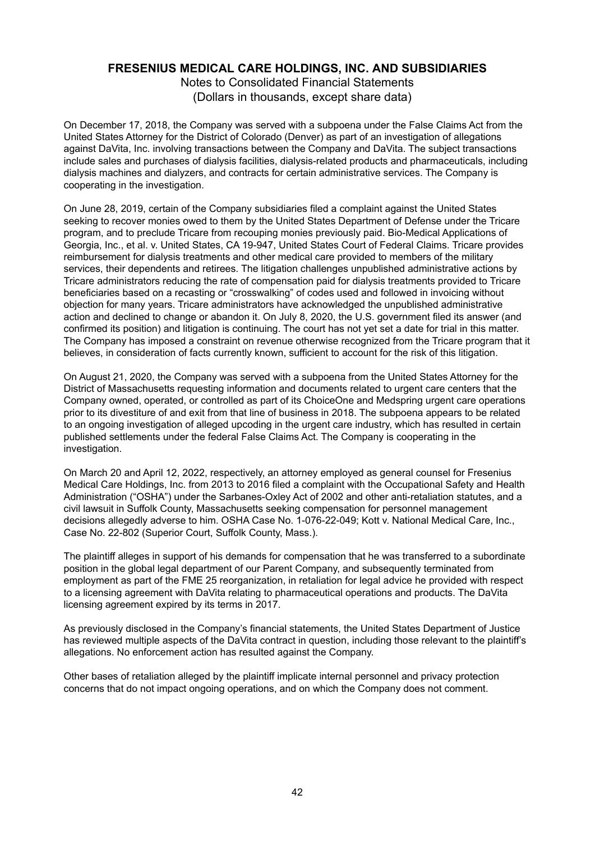Notes to Consolidated Financial Statements (Dollars in thousands, except share data)

On December 17, 2018, the Company was served with a subpoena under the False Claims Act from the United States Attorney for the District of Colorado (Denver) as part of an investigation of allegations against DaVita, Inc. involving transactions between the Company and DaVita. The subject transactions include sales and purchases of dialysis facilities, dialysis-related products and pharmaceuticals, including dialysis machines and dialyzers, and contracts for certain administrative services. The Company is cooperating in the investigation.

On June 28, 2019, certain of the Company subsidiaries filed a complaint against the United States seeking to recover monies owed to them by the United States Department of Defense under the Tricare program, and to preclude Tricare from recouping monies previously paid. Bio-Medical Applications of Georgia, Inc., et al. v. United States, CA 19-947, United States Court of Federal Claims. Tricare provides reimbursement for dialysis treatments and other medical care provided to members of the military services, their dependents and retirees. The litigation challenges unpublished administrative actions by Tricare administrators reducing the rate of compensation paid for dialysis treatments provided to Tricare beneficiaries based on a recasting or "crosswalking" of codes used and followed in invoicing without objection for many years. Tricare administrators have acknowledged the unpublished administrative action and declined to change or abandon it. On July 8, 2020, the U.S. government filed its answer (and confirmed its position) and litigation is continuing. The court has not yet set a date for trial in this matter. The Company has imposed a constraint on revenue otherwise recognized from the Tricare program that it believes, in consideration of facts currently known, sufficient to account for the risk of this litigation.

On August 21, 2020, the Company was served with a subpoena from the United States Attorney for the District of Massachusetts requesting information and documents related to urgent care centers that the Company owned, operated, or controlled as part of its ChoiceOne and Medspring urgent care operations prior to its divestiture of and exit from that line of business in 2018. The subpoena appears to be related to an ongoing investigation of alleged upcoding in the urgent care industry, which has resulted in certain published settlements under the federal False Claims Act. The Company is cooperating in the investigation.

On March 20 and April 12, 2022, respectively, an attorney employed as general counsel for Fresenius Medical Care Holdings, Inc. from 2013 to 2016 filed a complaint with the Occupational Safety and Health Administration ("OSHA") under the Sarbanes-Oxley Act of 2002 and other anti-retaliation statutes, and a civil lawsuit in Suffolk County, Massachusetts seeking compensation for personnel management decisions allegedly adverse to him. OSHA Case No. 1-076-22-049; Kott v. National Medical Care, Inc., Case No. 22-802 (Superior Court, Suffolk County, Mass.).

The plaintiff alleges in support of his demands for compensation that he was transferred to a subordinate position in the global legal department of our Parent Company, and subsequently terminated from employment as part of the FME 25 reorganization, in retaliation for legal advice he provided with respect to a licensing agreement with DaVita relating to pharmaceutical operations and products. The DaVita licensing agreement expired by its terms in 2017.

As previously disclosed in the Company's financial statements, the United States Department of Justice has reviewed multiple aspects of the DaVita contract in question, including those relevant to the plaintiff's allegations. No enforcement action has resulted against the Company.

Other bases of retaliation alleged by the plaintiff implicate internal personnel and privacy protection concerns that do not impact ongoing operations, and on which the Company does not comment.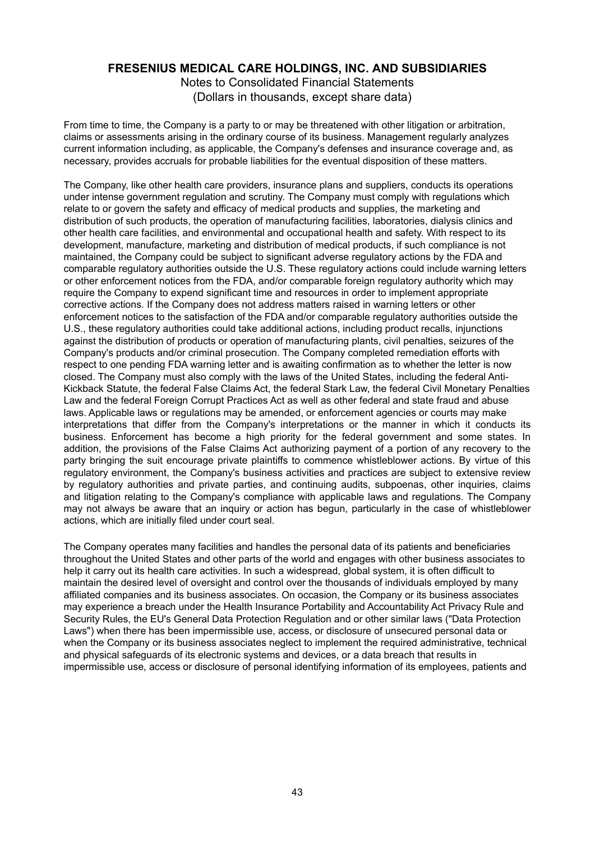Notes to Consolidated Financial Statements (Dollars in thousands, except share data)

From time to time, the Company is a party to or may be threatened with other litigation or arbitration, claims or assessments arising in the ordinary course of its business. Management regularly analyzes current information including, as applicable, the Company's defenses and insurance coverage and, as necessary, provides accruals for probable liabilities for the eventual disposition of these matters.

The Company, like other health care providers, insurance plans and suppliers, conducts its operations under intense government regulation and scrutiny. The Company must comply with regulations which relate to or govern the safety and efficacy of medical products and supplies, the marketing and distribution of such products, the operation of manufacturing facilities, laboratories, dialysis clinics and other health care facilities, and environmental and occupational health and safety. With respect to its development, manufacture, marketing and distribution of medical products, if such compliance is not maintained, the Company could be subject to significant adverse regulatory actions by the FDA and comparable regulatory authorities outside the U.S. These regulatory actions could include warning letters or other enforcement notices from the FDA, and/or comparable foreign regulatory authority which may require the Company to expend significant time and resources in order to implement appropriate corrective actions. If the Company does not address matters raised in warning letters or other enforcement notices to the satisfaction of the FDA and/or comparable regulatory authorities outside the U.S., these regulatory authorities could take additional actions, including product recalls, injunctions against the distribution of products or operation of manufacturing plants, civil penalties, seizures of the Company's products and/or criminal prosecution. The Company completed remediation efforts with respect to one pending FDA warning letter and is awaiting confirmation as to whether the letter is now closed. The Company must also comply with the laws of the United States, including the federal Anti-Kickback Statute, the federal False Claims Act, the federal Stark Law, the federal Civil Monetary Penalties Law and the federal Foreign Corrupt Practices Act as well as other federal and state fraud and abuse laws. Applicable laws or regulations may be amended, or enforcement agencies or courts may make interpretations that differ from the Company's interpretations or the manner in which it conducts its business. Enforcement has become a high priority for the federal government and some states. In addition, the provisions of the False Claims Act authorizing payment of a portion of any recovery to the party bringing the suit encourage private plaintiffs to commence whistleblower actions. By virtue of this regulatory environment, the Company's business activities and practices are subject to extensive review by regulatory authorities and private parties, and continuing audits, subpoenas, other inquiries, claims and litigation relating to the Company's compliance with applicable laws and regulations. The Company may not always be aware that an inquiry or action has begun, particularly in the case of whistleblower actions, which are initially filed under court seal.

The Company operates many facilities and handles the personal data of its patients and beneficiaries throughout the United States and other parts of the world and engages with other business associates to help it carry out its health care activities. In such a widespread, global system, it is often difficult to maintain the desired level of oversight and control over the thousands of individuals employed by many affiliated companies and its business associates. On occasion, the Company or its business associates may experience a breach under the Health Insurance Portability and Accountability Act Privacy Rule and Security Rules, the EU's General Data Protection Regulation and or other similar laws ("Data Protection Laws") when there has been impermissible use, access, or disclosure of unsecured personal data or when the Company or its business associates neglect to implement the required administrative, technical and physical safeguards of its electronic systems and devices, or a data breach that results in impermissible use, access or disclosure of personal identifying information of its employees, patients and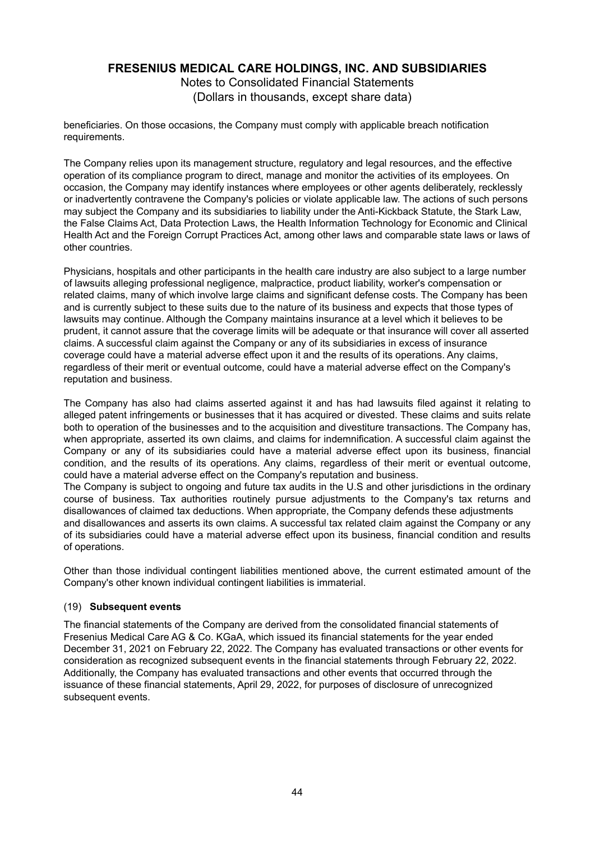Notes to Consolidated Financial Statements (Dollars in thousands, except share data)

beneficiaries. On those occasions, the Company must comply with applicable breach notification requirements.

The Company relies upon its management structure, regulatory and legal resources, and the effective operation of its compliance program to direct, manage and monitor the activities of its employees. On occasion, the Company may identify instances where employees or other agents deliberately, recklessly or inadvertently contravene the Company's policies or violate applicable law. The actions of such persons may subject the Company and its subsidiaries to liability under the Anti-Kickback Statute, the Stark Law, the False Claims Act, Data Protection Laws, the Health Information Technology for Economic and Clinical Health Act and the Foreign Corrupt Practices Act, among other laws and comparable state laws or laws of other countries.

Physicians, hospitals and other participants in the health care industry are also subject to a large number of lawsuits alleging professional negligence, malpractice, product liability, worker's compensation or related claims, many of which involve large claims and significant defense costs. The Company has been and is currently subject to these suits due to the nature of its business and expects that those types of lawsuits may continue. Although the Company maintains insurance at a level which it believes to be prudent, it cannot assure that the coverage limits will be adequate or that insurance will cover all asserted claims. A successful claim against the Company or any of its subsidiaries in excess of insurance coverage could have a material adverse effect upon it and the results of its operations. Any claims, regardless of their merit or eventual outcome, could have a material adverse effect on the Company's reputation and business.

The Company has also had claims asserted against it and has had lawsuits filed against it relating to alleged patent infringements or businesses that it has acquired or divested. These claims and suits relate both to operation of the businesses and to the acquisition and divestiture transactions. The Company has, when appropriate, asserted its own claims, and claims for indemnification. A successful claim against the Company or any of its subsidiaries could have a material adverse effect upon its business, financial condition, and the results of its operations. Any claims, regardless of their merit or eventual outcome, could have a material adverse effect on the Company's reputation and business.

The Company is subject to ongoing and future tax audits in the U.S and other jurisdictions in the ordinary course of business. Tax authorities routinely pursue adjustments to the Company's tax returns and disallowances of claimed tax deductions. When appropriate, the Company defends these adjustments and disallowances and asserts its own claims. A successful tax related claim against the Company or any of its subsidiaries could have a material adverse effect upon its business, financial condition and results of operations.

Other than those individual contingent liabilities mentioned above, the current estimated amount of the Company's other known individual contingent liabilities is immaterial.

### (19) **Subsequent events**

The financial statements of the Company are derived from the consolidated financial statements of Fresenius Medical Care AG & Co. KGaA, which issued its financial statements for the year ended December 31, 2021 on February 22, 2022. The Company has evaluated transactions or other events for consideration as recognized subsequent events in the financial statements through February 22, 2022. Additionally, the Company has evaluated transactions and other events that occurred through the issuance of these financial statements, April 29, 2022, for purposes of disclosure of unrecognized subsequent events.